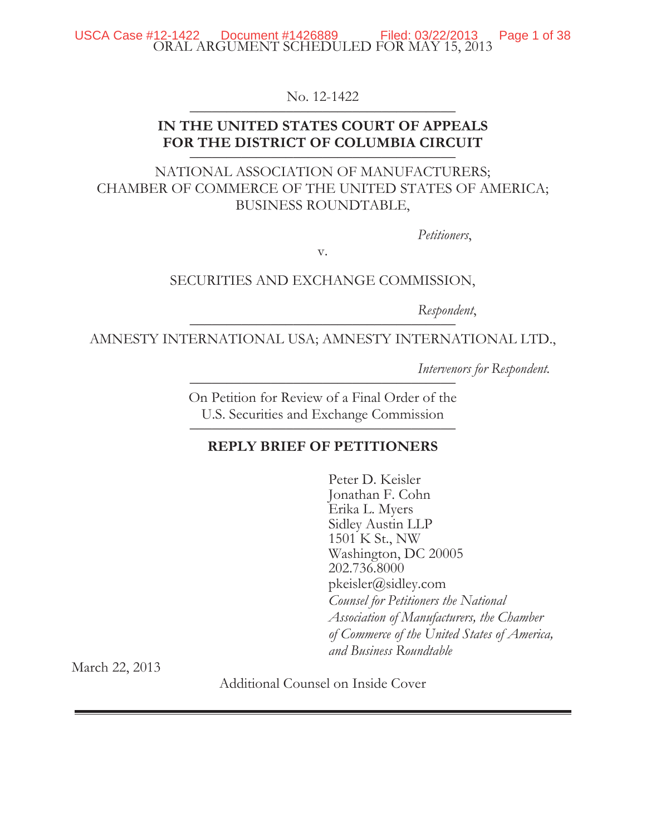#### ORAL ARGUMENT SCHEDULED FOR MAY 15, 2013 USCA Case  $\#12-1422$  Document  $\#1426889$  Filed: 03/22/2013 Page 1 of 38

No. 12-1422

## **IN THE UNITED STATES COURT OF APPEALS**  FOR THE DISTRICT OF COLUMBIA CIRCUIT

# NATIONAL ASSOCIATION OF MANUFACTURERS; CHAMBER OF COMMERCE OF THE UNITED STATES OF AMERICA; BUSINESS ROUNDTABLE,

*Petitioners*,

v.

### SECURITIES AND EXCHANGE COMMISSION,

Respondent,

AMNESTY INTERNATIONAL USA; AMNESTY INTERNATIONAL LTD.,

*Intervenors for Respondent.* \_\_\_\_\_\_\_\_\_\_\_\_\_\_\_\_\_\_\_\_\_\_\_\_\_\_\_\_\_\_\_\_\_\_\_\_

On Petition for Review of a Final Order of the U.S. Securities and Exchange Commission

## **REPLY BRIEF OF PETITIONERS**

Peter D. Keisler Jonathan F. Cohn Erika L. Myers Sidley Austin LLP 1501 K St., NW Washington, DC 20005 202.736.8000 pkeisler@sidley.com *Counsel for Petitioners the National Association of Manufacturers, the Chamber of Commerce of the United States of America, and Business Roundtable* 

March 22, 2013

Additional Counsel on Inside Cover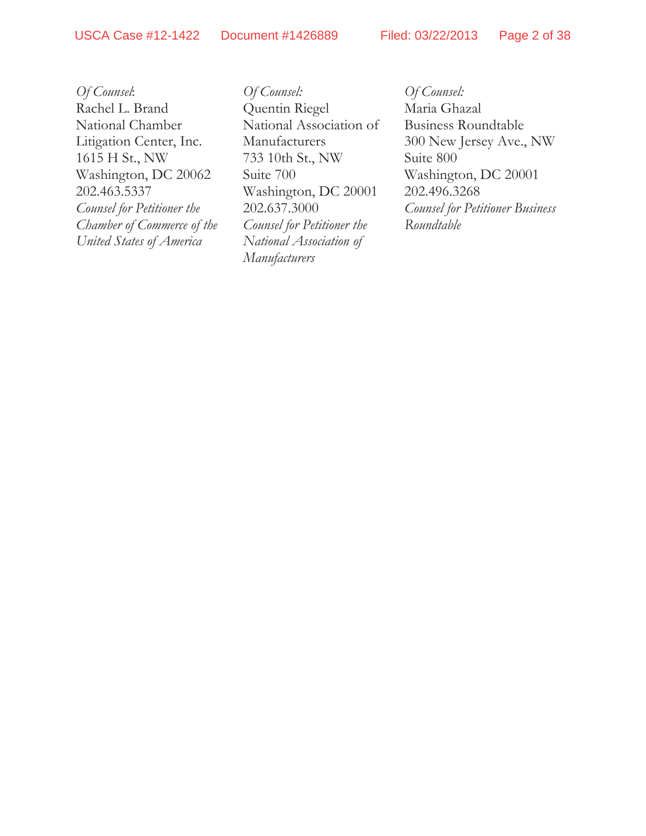USCA Case #12-1422 Document #1426889 Filed: 03/22/2013 Page 2 of 38

*Of Counsel*: Rachel L. Brand National Chamber Litigation Center, Inc. 1615 H St., NW Washington, DC 20062 202.463.5337 *Counsel for Petitioner the Chamber of Commerce of the United States of America* 

*Of Counsel:*  Quentin Riegel National Association of Manufacturers 733 10th St., NW Suite 700 Washington, DC 20001 202.637.3000 *Counsel for Petitioner the National Association of Manufacturers* 

*Of Counsel:*  Maria Ghazal Business Roundtable 300 New Jersey Ave., NW Suite 800 Washington, DC 20001 202.496.3268 *Counsel for Petitioner Business Roundtable*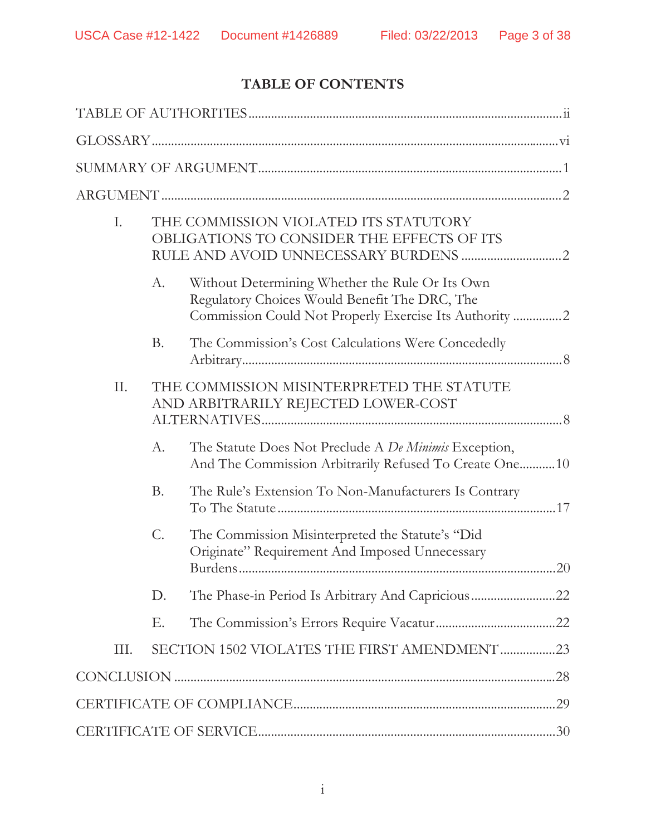# **TABLE OF CONTENTS**

| I.   | THE COMMISSION VIOLATED ITS STATUTORY<br>OBLIGATIONS TO CONSIDER THE EFFECTS OF ITS |                                                                                                                                                            |  |  |
|------|-------------------------------------------------------------------------------------|------------------------------------------------------------------------------------------------------------------------------------------------------------|--|--|
|      | $A$ .                                                                               | Without Determining Whether the Rule Or Its Own<br>Regulatory Choices Would Benefit The DRC, The<br>Commission Could Not Properly Exercise Its Authority 2 |  |  |
|      | <b>B.</b>                                                                           | The Commission's Cost Calculations Were Concededly                                                                                                         |  |  |
| II.  |                                                                                     | THE COMMISSION MISINTERPRETED THE STATUTE<br>AND ARBITRARILY REJECTED LOWER-COST                                                                           |  |  |
|      | $A$ .                                                                               | The Statute Does Not Preclude A De Minimis Exception,<br>And The Commission Arbitrarily Refused To Create One10                                            |  |  |
|      | <b>B.</b>                                                                           | The Rule's Extension To Non-Manufacturers Is Contrary                                                                                                      |  |  |
|      | C.                                                                                  | The Commission Misinterpreted the Statute's "Did<br>Originate" Requirement And Imposed Unnecessary                                                         |  |  |
|      | D.                                                                                  | The Phase-in Period Is Arbitrary And Capricious22                                                                                                          |  |  |
|      | Ε.                                                                                  |                                                                                                                                                            |  |  |
| III. |                                                                                     | SECTION 1502 VIOLATES THE FIRST AMENDMENT23                                                                                                                |  |  |
|      |                                                                                     |                                                                                                                                                            |  |  |
|      |                                                                                     |                                                                                                                                                            |  |  |
|      |                                                                                     |                                                                                                                                                            |  |  |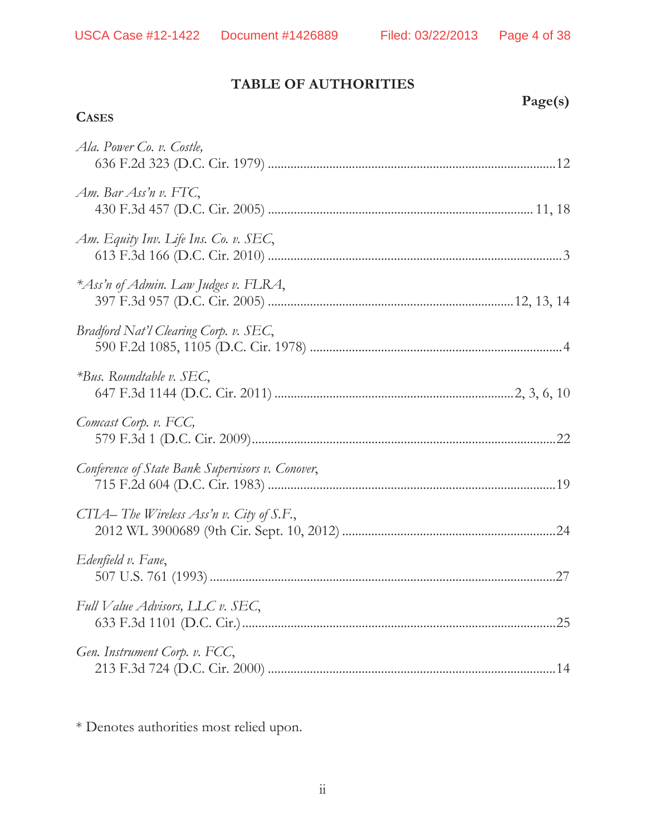# **TABLE OF AUTHORITIES**

## **CASES**

| Page(s) |
|---------|
|         |

| Ala. Power Co. v. Costle,                        |  |
|--------------------------------------------------|--|
| Am. Bar Ass'n v. FTC,                            |  |
| Am. Equity Inv. Life Ins. Co. v. SEC,            |  |
| *Ass'n of Admin. Law Judges v. FLRA,             |  |
| Bradford Nat'l Clearing Corp. v. SEC,            |  |
| $*Bus$ . Roundtable v. SEC,                      |  |
| Comcast Corp. v. FCC,                            |  |
| Conference of State Bank Supervisors v. Conover, |  |
| CTIA-The Wireless Ass'n v. City of S.F.,         |  |
| Edenfield v. Fane,                               |  |
| Full Value Advisors, LLC v. SEC,                 |  |
| Gen. Instrument Corp. v. FCC,                    |  |

\* Denotes authorities most relied upon.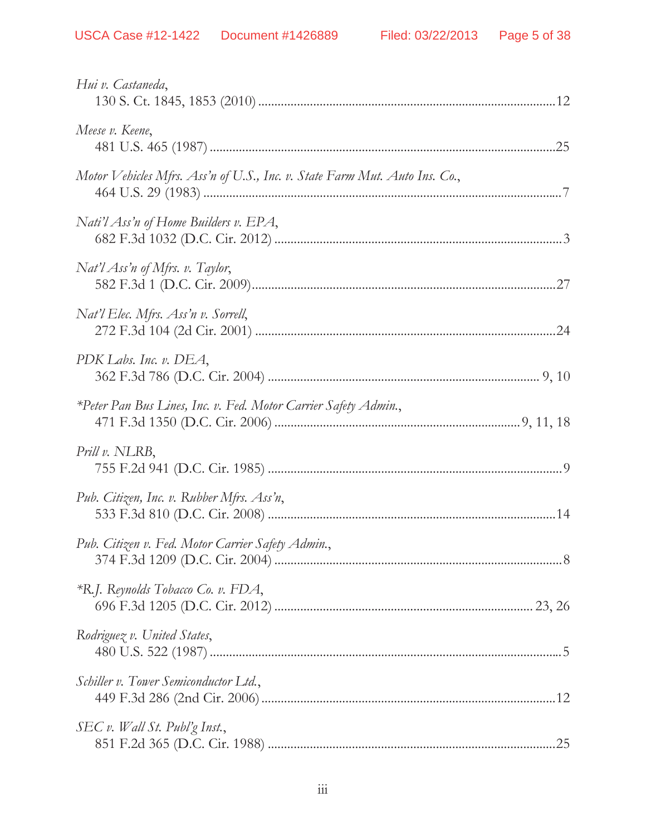| Hui v. Castaneda,                                                          |  |
|----------------------------------------------------------------------------|--|
| Meese v. Keene,                                                            |  |
| Motor Vehicles Mfrs. Ass'n of U.S., Inc. v. State Farm Mut. Auto Ins. Co., |  |
| Nati'l Ass'n of Home Builders v. EPA,                                      |  |
| Nat'l Ass'n of Mfrs. v. Taylor,                                            |  |
| Nat'l Elec. Mfrs. Ass'n v. Sorrell,                                        |  |
| PDK Labs. Inc. v. DEA,                                                     |  |
| *Peter Pan Bus Lines, Inc. v. Fed. Motor Carrier Safety Admin.,            |  |
| Prill v. NLRB,                                                             |  |
| Pub. Citizen, Inc. v. Rubber Mfrs. Ass'n,                                  |  |
| Pub. Citizen v. Fed. Motor Carrier Safety Admin.,                          |  |
| $*R$ .J. Reynolds Tobacco Co. v. FDA,                                      |  |
| Rodriguez v. United States,                                                |  |
| Schiller v. Tower Semiconductor Ltd.,                                      |  |
| SEC v. Wall St. Publ'g Inst.,                                              |  |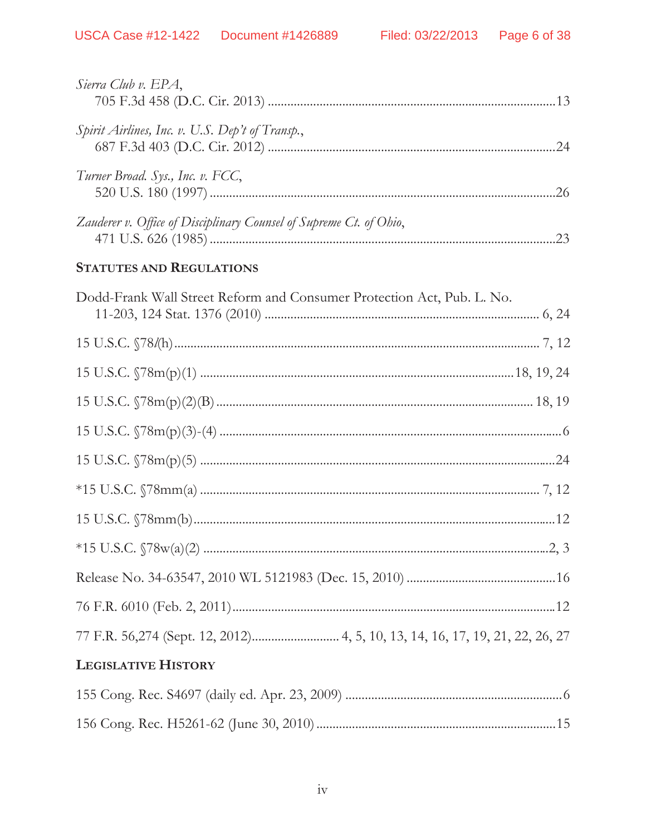| Sierra Club v. EPA,                                                |     |
|--------------------------------------------------------------------|-----|
| Spirit Airlines, Inc. v. U.S. Dep't of Transp.,                    | .24 |
| Turner Broad. Sys., Inc. v. FCC,                                   | 26  |
| Zauderer v. Office of Disciplinary Counsel of Supreme Ct. of Ohio, | 23  |

# **STATUTES AND REGULATIONS**

| Dodd-Frank Wall Street Reform and Consumer Protection Act, Pub. L. No. |  |
|------------------------------------------------------------------------|--|
|                                                                        |  |
|                                                                        |  |
|                                                                        |  |
|                                                                        |  |
|                                                                        |  |
|                                                                        |  |
|                                                                        |  |
|                                                                        |  |
|                                                                        |  |
|                                                                        |  |
|                                                                        |  |
|                                                                        |  |
| <b>LEGISLATIVE HISTORY</b>                                             |  |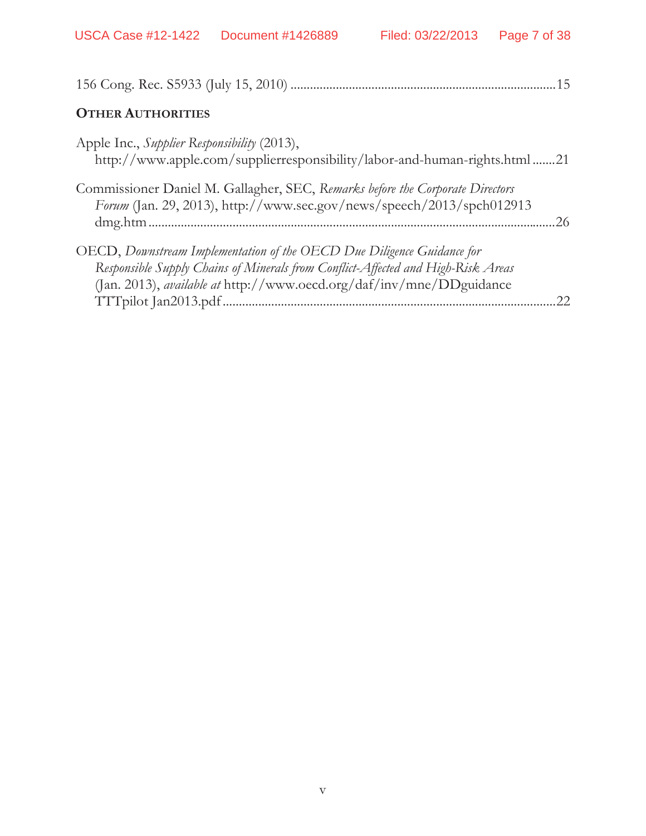| <b>OTHER AUTHORITIES</b>                                                                                                                                                                                                                                    |  |
|-------------------------------------------------------------------------------------------------------------------------------------------------------------------------------------------------------------------------------------------------------------|--|
| Apple Inc., Supplier Responsibility (2013),<br>http://www.apple.com/supplierresponsibility/labor-and-human-rights.html 21                                                                                                                                   |  |
| Commissioner Daniel M. Gallagher, SEC, Remarks before the Corporate Directors<br>Forum (Jan. 29, 2013), http://www.sec.gov/news/speech/2013/spch012913<br>26                                                                                                |  |
| OECD, Downstream Implementation of the OECD Due Diligence Guidance for<br>Responsible Supply Chains of Minerals from Conflict-Affected and High-Risk Areas<br>(Jan. 2013), available at http://www.oecd.org/daf/inv/mne/DDguidance<br>TTTpilot Jan2013.pdf. |  |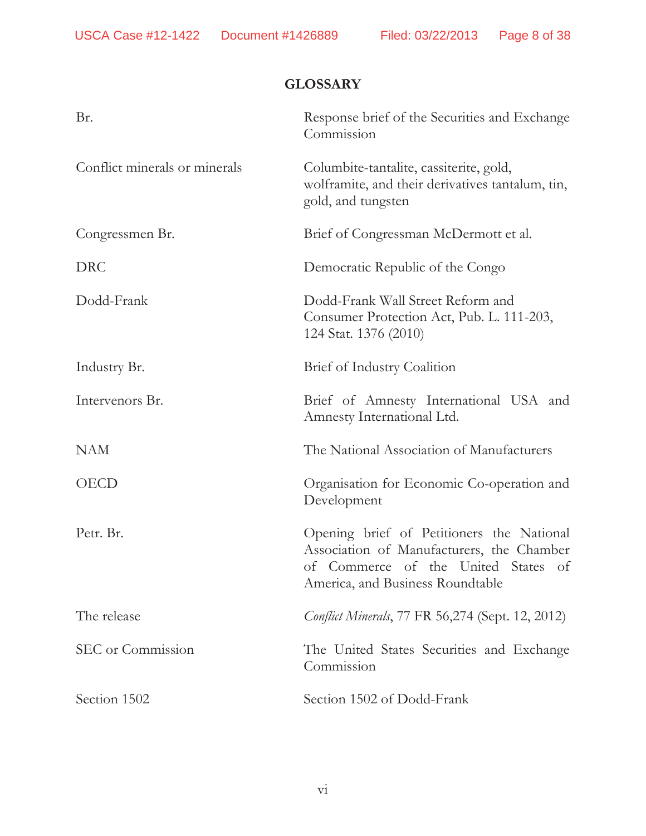# **GLOSSARY**

| Br.                           | Response brief of the Securities and Exchange<br>Commission                                                                                                       |
|-------------------------------|-------------------------------------------------------------------------------------------------------------------------------------------------------------------|
| Conflict minerals or minerals | Columbite-tantalite, cassiterite, gold,<br>wolframite, and their derivatives tantalum, tin,<br>gold, and tungsten                                                 |
| Congressmen Br.               | Brief of Congressman McDermott et al.                                                                                                                             |
| <b>DRC</b>                    | Democratic Republic of the Congo                                                                                                                                  |
| Dodd-Frank                    | Dodd-Frank Wall Street Reform and<br>Consumer Protection Act, Pub. L. 111-203,<br>124 Stat. 1376 (2010)                                                           |
| Industry Br.                  | Brief of Industry Coalition                                                                                                                                       |
| Intervenors Br.               | Brief of Amnesty International USA and<br>Amnesty International Ltd.                                                                                              |
| <b>NAM</b>                    | The National Association of Manufacturers                                                                                                                         |
| <b>OECD</b>                   | Organisation for Economic Co-operation and<br>Development                                                                                                         |
| Petr. Br.                     | Opening brief of Petitioners the National<br>Association of Manufacturers, the Chamber<br>of Commerce of the United States of<br>America, and Business Roundtable |
| The release                   | <i>Conflict Minerals</i> , 77 FR 56,274 (Sept. 12, 2012)                                                                                                          |
| SEC or Commission             | The United States Securities and Exchange<br>Commission                                                                                                           |
| Section 1502                  | Section 1502 of Dodd-Frank                                                                                                                                        |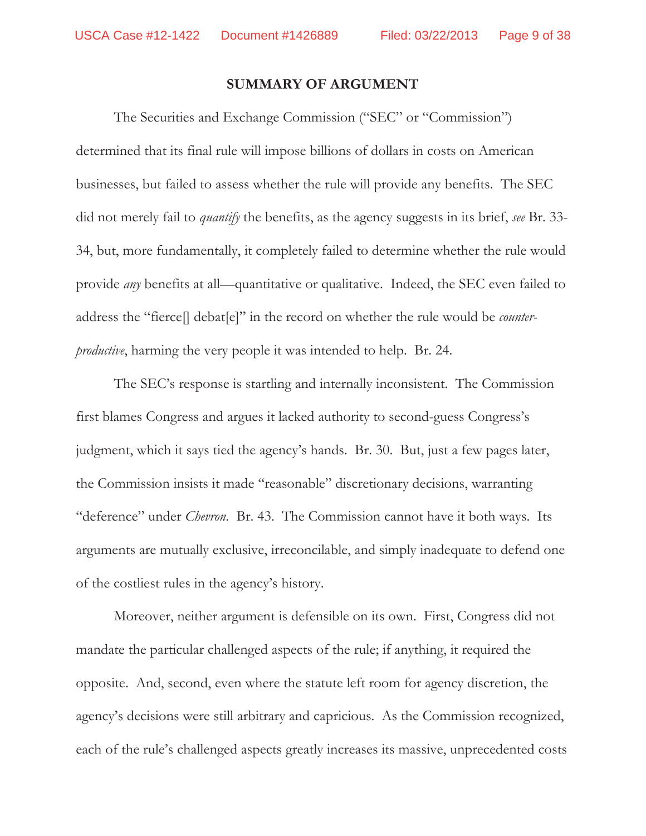#### **SUMMARY OF ARGUMENT**

The Securities and Exchange Commission ("SEC" or "Commission") determined that its final rule will impose billions of dollars in costs on American businesses, but failed to assess whether the rule will provide any benefits. The SEC did not merely fail to *quantify* the benefits, as the agency suggests in its brief, *see* Br. 33- 34, but, more fundamentally, it completely failed to determine whether the rule would provide *any* benefits at all—quantitative or qualitative. Indeed, the SEC even failed to address the "fierce[] debat[e]" in the record on whether the rule would be *counterproductive*, harming the very people it was intended to help. Br. 24.

The SEC's response is startling and internally inconsistent. The Commission first blames Congress and argues it lacked authority to second-guess Congress's judgment, which it says tied the agency's hands. Br. 30. But, just a few pages later, the Commission insists it made "reasonable" discretionary decisions, warranting "deference" under *Chevron*. Br. 43.The Commission cannot have it both ways. Its arguments are mutually exclusive, irreconcilable, and simply inadequate to defend one of the costliest rules in the agency's history.

Moreover, neither argument is defensible on its own. First, Congress did not mandate the particular challenged aspects of the rule; if anything, it required the opposite. And, second, even where the statute left room for agency discretion, the agency's decisions were still arbitrary and capricious. As the Commission recognized, each of the rule's challenged aspects greatly increases its massive, unprecedented costs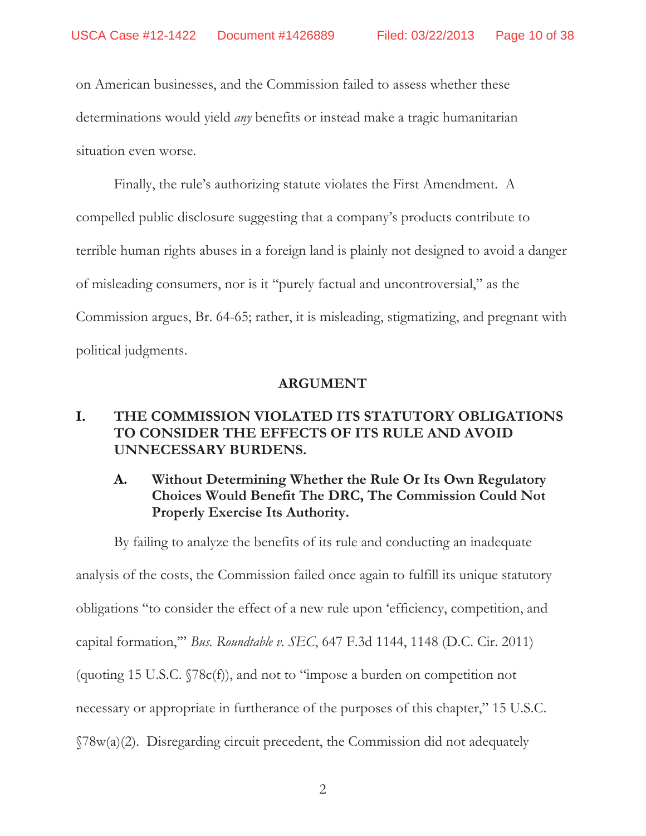on American businesses, and the Commission failed to assess whether these determinations would yield *any* benefits or instead make a tragic humanitarian situation even worse.

Finally, the rule's authorizing statute violates the First Amendment. A compelled public disclosure suggesting that a company's products contribute to terrible human rights abuses in a foreign land is plainly not designed to avoid a danger of misleading consumers, nor is it "purely factual and uncontroversial," as the Commission argues, Br. 64-65; rather, it is misleading, stigmatizing, and pregnant with political judgments.

#### **ARGUMENT**

## **I. THE COMMISSION VIOLATED ITS STATUTORY OBLIGATIONS TO CONSIDER THE EFFECTS OF ITS RULE AND AVOID UNNECESSARY BURDENS.**

# **A. Without Determining Whether the Rule Or Its Own Regulatory Choices Would Benefit The DRC, The Commission Could Not Properly Exercise Its Authority.**

By failing to analyze the benefits of its rule and conducting an inadequate analysis of the costs, the Commission failed once again to fulfill its unique statutory obligations "to consider the effect of a new rule upon 'efficiency, competition, and capital formation,'" *Bus. Roundtable v. SEC*, 647 F.3d 1144, 1148 (D.C. Cir. 2011) (quoting 15 U.S.C. §78c(f)), and not to "impose a burden on competition not necessary or appropriate in furtherance of the purposes of this chapter," 15 U.S.C. §78w(a)(2). Disregarding circuit precedent, the Commission did not adequately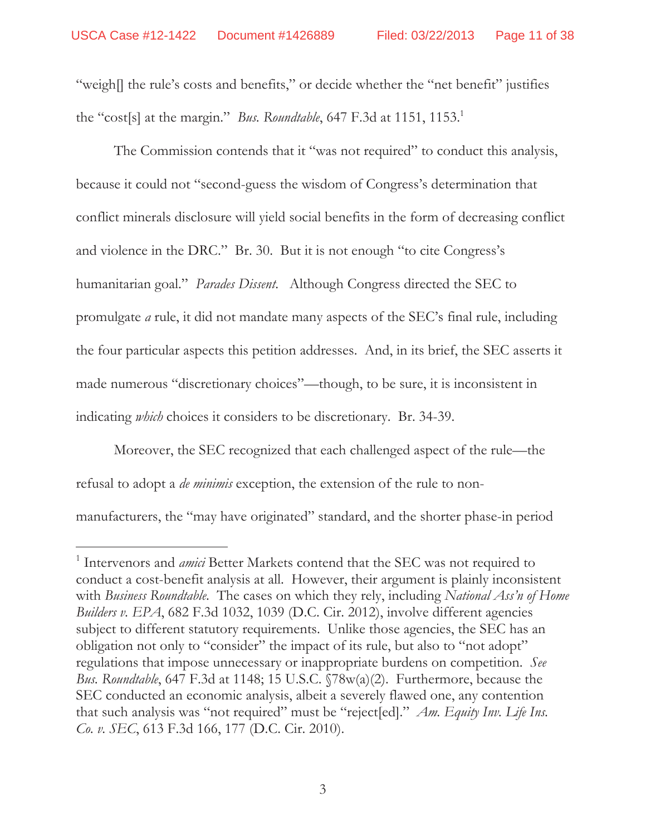"weigh[] the rule's costs and benefits," or decide whether the "net benefit" justifies the "cost[s] at the margin." *Bus. Roundtable*, 647 F.3d at 1151, 1153.<sup>1</sup>

The Commission contends that it "was not required" to conduct this analysis, because it could not "second-guess the wisdom of Congress's determination that conflict minerals disclosure will yield social benefits in the form of decreasing conflict and violence in the DRC." Br. 30. But it is not enough "to cite Congress's humanitarian goal." *Parades Dissent*. Although Congress directed the SEC to promulgate *a* rule, it did not mandate many aspects of the SEC's final rule, including the four particular aspects this petition addresses. And, in its brief, the SEC asserts it made numerous "discretionary choices"—though, to be sure, it is inconsistent in indicating *which* choices it considers to be discretionary. Br. 34-39.

Moreover, the SEC recognized that each challenged aspect of the rule—the refusal to adopt a *de minimis* exception, the extension of the rule to nonmanufacturers, the "may have originated" standard, and the shorter phase-in period

 $\overline{a}$ 

<sup>&</sup>lt;sup>1</sup> Intervenors and *amici* Better Markets contend that the SEC was not required to conduct a cost-benefit analysis at all. However, their argument is plainly inconsistent with *Business Roundtable*. The cases on which they rely, including *National Ass'n of Home Builders v. EPA*, 682 F.3d 1032, 1039 (D.C. Cir. 2012), involve different agencies subject to different statutory requirements. Unlike those agencies, the SEC has an obligation not only to "consider" the impact of its rule, but also to "not adopt" regulations that impose unnecessary or inappropriate burdens on competition. *See Bus. Roundtable*, 647 F.3d at 1148; 15 U.S.C. §78w(a)(2). Furthermore, because the SEC conducted an economic analysis, albeit a severely flawed one, any contention that such analysis was "not required" must be "reject[ed]." *Am. Equity Inv. Life Ins. Co. v. SEC*, 613 F.3d 166, 177 (D.C. Cir. 2010).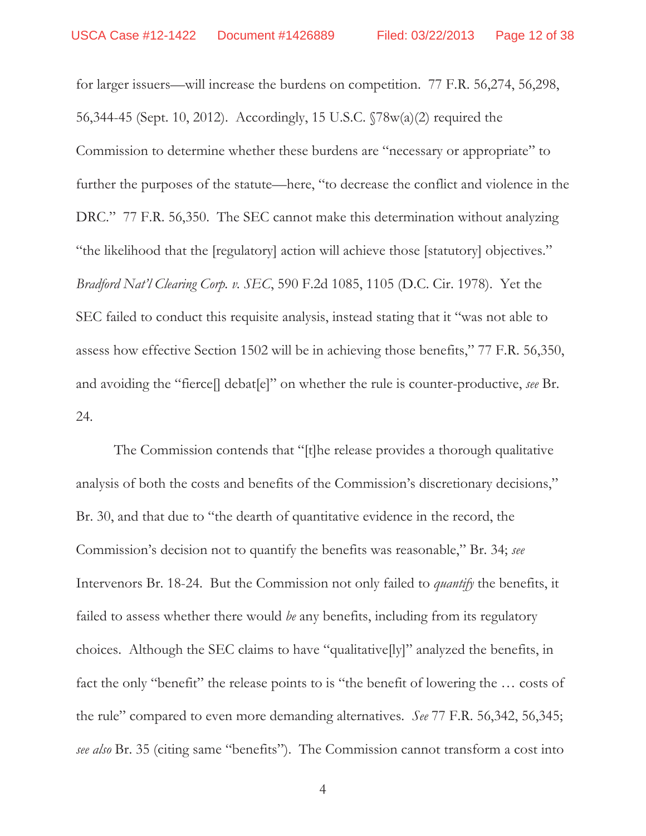for larger issuers—will increase the burdens on competition. 77 F.R. 56,274, 56,298, 56,344-45 (Sept. 10, 2012). Accordingly, 15 U.S.C. §78w(a)(2) required the Commission to determine whether these burdens are "necessary or appropriate" to further the purposes of the statute—here, "to decrease the conflict and violence in the DRC." 77 F.R. 56,350. The SEC cannot make this determination without analyzing "the likelihood that the [regulatory] action will achieve those [statutory] objectives." *Bradford Nat'l Clearing Corp. v. SEC*, 590 F.2d 1085, 1105 (D.C. Cir. 1978). Yet the SEC failed to conduct this requisite analysis, instead stating that it "was not able to assess how effective Section 1502 will be in achieving those benefits," 77 F.R. 56,350, and avoiding the "fierce[] debat[e]" on whether the rule is counter-productive, *see* Br. 24.

The Commission contends that "[t]he release provides a thorough qualitative analysis of both the costs and benefits of the Commission's discretionary decisions," Br. 30, and that due to "the dearth of quantitative evidence in the record, the Commission's decision not to quantify the benefits was reasonable," Br. 34; *see*  Intervenors Br. 18-24. But the Commission not only failed to *quantify* the benefits, it failed to assess whether there would *be* any benefits, including from its regulatory choices. Although the SEC claims to have "qualitative[ly]" analyzed the benefits, in fact the only "benefit" the release points to is "the benefit of lowering the ... costs of the rule" compared to even more demanding alternatives. *See* 77 F.R. 56,342, 56,345; *see also* Br. 35 (citing same "benefits"). The Commission cannot transform a cost into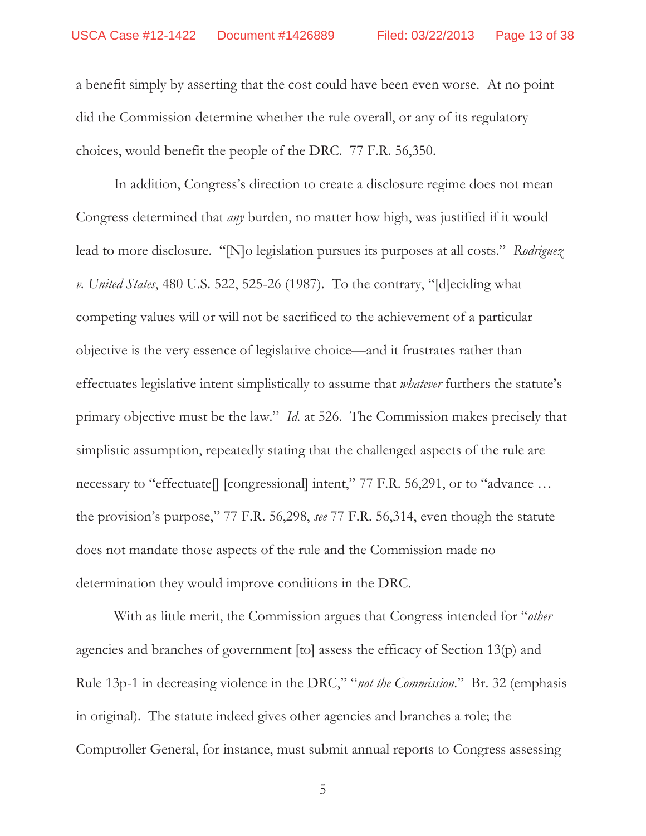a benefit simply by asserting that the cost could have been even worse. At no point did the Commission determine whether the rule overall, or any of its regulatory choices, would benefit the people of the DRC. 77 F.R. 56,350.

In addition, Congress's direction to create a disclosure regime does not mean Congress determined that *any* burden, no matter how high, was justified if it would lead to more disclosure. "[N]o legislation pursues its purposes at all costs." *Rodriguez v. United States*, 480 U.S. 522, 525-26 (1987). To the contrary, "[d]eciding what competing values will or will not be sacrificed to the achievement of a particular objective is the very essence of legislative choice—and it frustrates rather than effectuates legislative intent simplistically to assume that *whatever* furthers the statute's primary objective must be the law." *Id.* at 526. The Commission makes precisely that simplistic assumption, repeatedly stating that the challenged aspects of the rule are necessary to "effectuate[] [congressional] intent," 77 F.R. 56,291, or to "advance ... the provision's purpose," 77 F.R. 56,298, *see* 77 F.R. 56,314, even though the statute does not mandate those aspects of the rule and the Commission made no determination they would improve conditions in the DRC.

With as little merit, the Commission argues that Congress intended for "*other* agencies and branches of government [to] assess the efficacy of Section 13(p) and Rule 13p-1 in decreasing violence in the DRC," "*not the Commission*." Br. 32 (emphasis in original). The statute indeed gives other agencies and branches a role; the Comptroller General, for instance, must submit annual reports to Congress assessing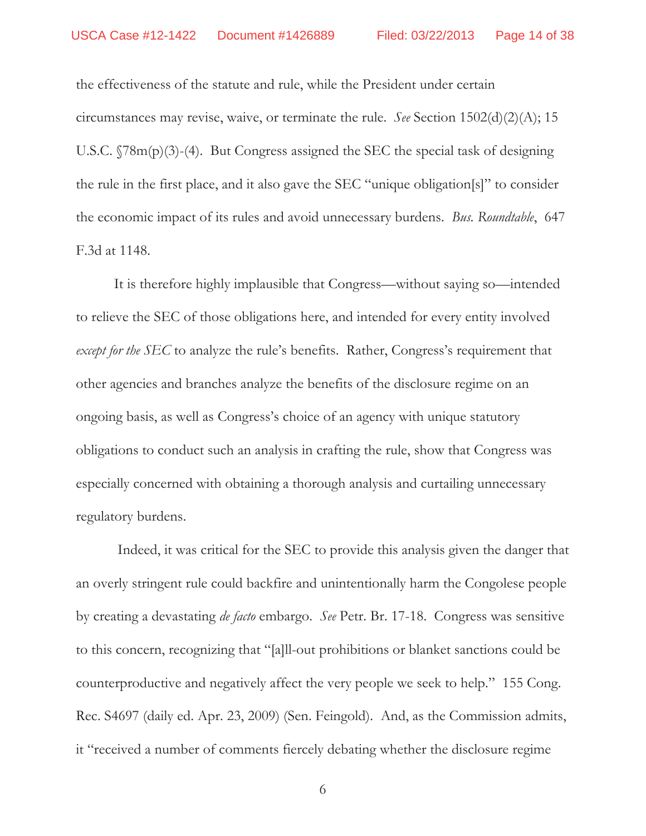the effectiveness of the statute and rule, while the President under certain circumstances may revise, waive, or terminate the rule. *See* Section 1502(d)(2)(A); 15 U.S.C. §78m(p)(3)-(4). But Congress assigned the SEC the special task of designing the rule in the first place, and it also gave the SEC "unique obligation[s]" to consider the economic impact of its rules and avoid unnecessary burdens. *Bus. Roundtable*, 647 F.3d at 1148.

It is therefore highly implausible that Congress—without saying so—intended to relieve the SEC of those obligations here, and intended for every entity involved *except for the SEC* to analyze the rule's benefits. Rather, Congress's requirement that other agencies and branches analyze the benefits of the disclosure regime on an ongoing basis, as well as Congress's choice of an agency with unique statutory obligations to conduct such an analysis in crafting the rule, show that Congress was especially concerned with obtaining a thorough analysis and curtailing unnecessary regulatory burdens.

 Indeed, it was critical for the SEC to provide this analysis given the danger that an overly stringent rule could backfire and unintentionally harm the Congolese people by creating a devastating *de facto* embargo. *See* Petr. Br. 17-18. Congress was sensitive to this concern, recognizing that "[a]ll-out prohibitions or blanket sanctions could be counterproductive and negatively affect the very people we seek to help." 155 Cong. Rec. S4697 (daily ed. Apr. 23, 2009) (Sen. Feingold). And, as the Commission admits, it "received a number of comments fiercely debating whether the disclosure regime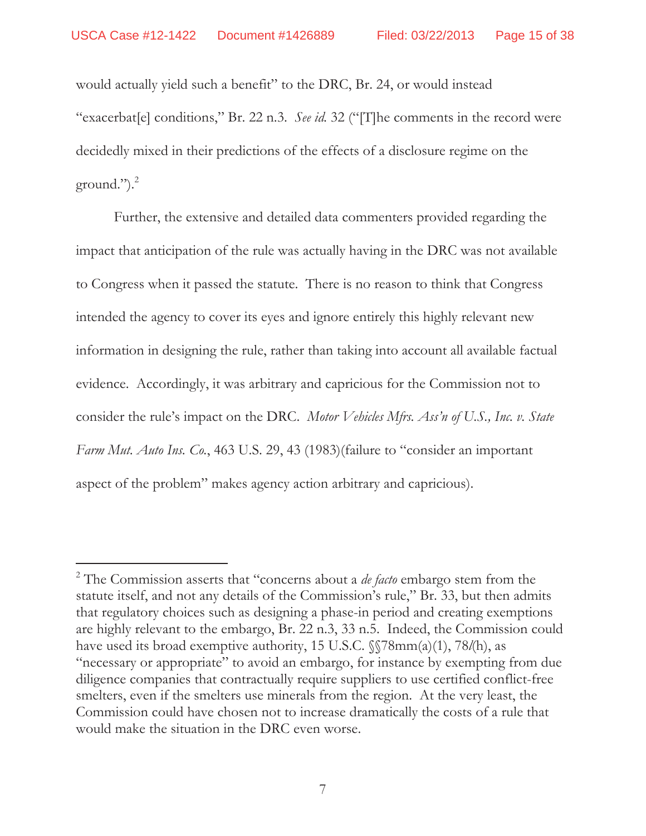$\overline{a}$ 

would actually yield such a benefit" to the DRC, Br. 24, or would instead "exacerbat[e] conditions," Br. 22 n.3. *See id.* 32 ("[T]he comments in the record were decidedly mixed in their predictions of the effects of a disclosure regime on the ground."). $^{2}$ 

Further, the extensive and detailed data commenters provided regarding the impact that anticipation of the rule was actually having in the DRC was not available to Congress when it passed the statute. There is no reason to think that Congress intended the agency to cover its eyes and ignore entirely this highly relevant new information in designing the rule, rather than taking into account all available factual evidence. Accordingly, it was arbitrary and capricious for the Commission not to consider the rule's impact on the DRC. *Motor Vehicles Mfrs. Ass'n of U.S., Inc. v. State Farm Mut. Auto Ins. Co.*, 463 U.S. 29, 43 (1983)(failure to "consider an important aspect of the problem" makes agency action arbitrary and capricious).

<sup>2</sup> The Commission asserts that "concerns about a *de facto* embargo stem from the statute itself, and not any details of the Commission's rule," Br. 33, but then admits that regulatory choices such as designing a phase-in period and creating exemptions are highly relevant to the embargo, Br. 22 n.3, 33 n.5. Indeed, the Commission could have used its broad exemptive authority, 15 U.S.C. §§78mm(a)(1), 78*l*(h), as "necessary or appropriate" to avoid an embargo, for instance by exempting from due diligence companies that contractually require suppliers to use certified conflict-free smelters, even if the smelters use minerals from the region. At the very least, the Commission could have chosen not to increase dramatically the costs of a rule that would make the situation in the DRC even worse.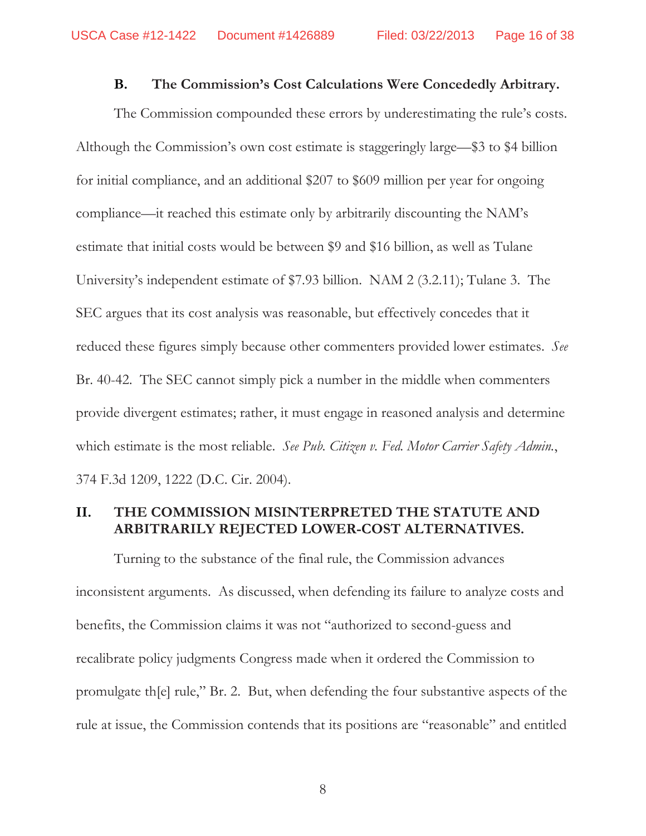#### **B. The Commission's Cost Calculations Were Concededly Arbitrary.**

The Commission compounded these errors by underestimating the rule's costs. Although the Commission's own cost estimate is staggeringly large—\$3 to \$4 billion for initial compliance, and an additional \$207 to \$609 million per year for ongoing compliance—it reached this estimate only by arbitrarily discounting the NAM's estimate that initial costs would be between \$9 and \$16 billion, as well as Tulane University's independent estimate of \$7.93 billion. NAM 2 (3.2.11); Tulane 3. The SEC argues that its cost analysis was reasonable, but effectively concedes that it reduced these figures simply because other commenters provided lower estimates. *See*  Br. 40-42. The SEC cannot simply pick a number in the middle when commenters provide divergent estimates; rather, it must engage in reasoned analysis and determine which estimate is the most reliable. *See Pub. Citizen v. Fed. Motor Carrier Safety Admin.*, 374 F.3d 1209, 1222 (D.C. Cir. 2004).

## **II. THE COMMISSION MISINTERPRETED THE STATUTE AND ARBITRARILY REJECTED LOWER-COST ALTERNATIVES.**

Turning to the substance of the final rule, the Commission advances inconsistent arguments. As discussed, when defending its failure to analyze costs and benefits, the Commission claims it was not "authorized to second-guess and recalibrate policy judgments Congress made when it ordered the Commission to promulgate th[e] rule," Br. 2. But, when defending the four substantive aspects of the rule at issue, the Commission contends that its positions are "reasonable" and entitled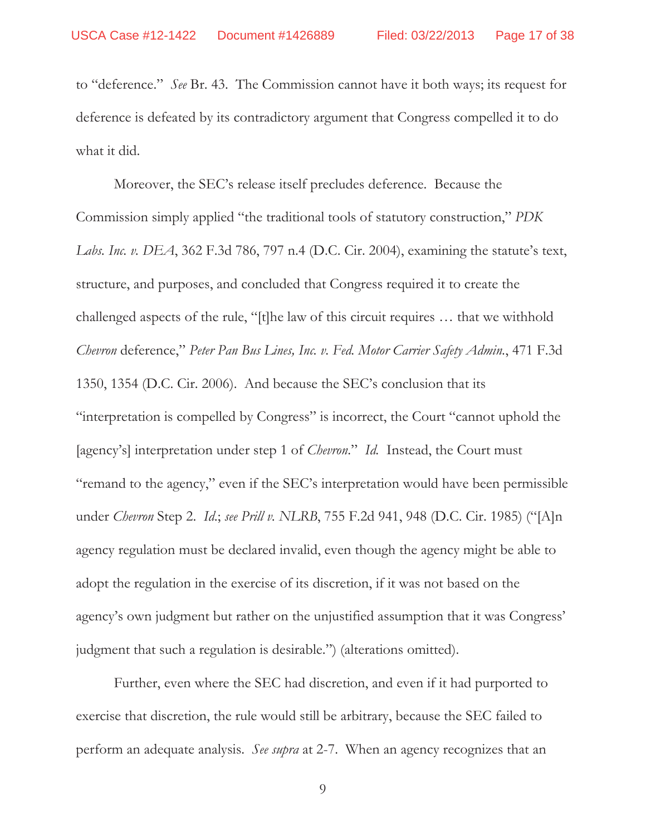to "deference." *See* Br. 43. The Commission cannot have it both ways; its request for deference is defeated by its contradictory argument that Congress compelled it to do what it did.

Moreover, the SEC's release itself precludes deference. Because the Commission simply applied "the traditional tools of statutory construction," *PDK Labs. Inc. v. DEA*, 362 F.3d 786, 797 n.4 (D.C. Cir. 2004), examining the statute's text, structure, and purposes, and concluded that Congress required it to create the challenged aspects of the rule, "[t]he law of this circuit requires … that we withhold *Chevron* deference," *Peter Pan Bus Lines, Inc. v. Fed. Motor Carrier Safety Admin.*, 471 F.3d 1350, 1354 (D.C. Cir. 2006). And because the SEC's conclusion that its "interpretation is compelled by Congress" is incorrect, the Court "cannot uphold the [agency's] interpretation under step 1 of *Chevron*." *Id.* Instead, the Court must "remand to the agency," even if the SEC's interpretation would have been permissible under *Chevron* Step 2. *Id*.; *see Prill v. NLRB*, 755 F.2d 941, 948 (D.C. Cir. 1985) ("[A]n agency regulation must be declared invalid, even though the agency might be able to adopt the regulation in the exercise of its discretion, if it was not based on the agency's own judgment but rather on the unjustified assumption that it was Congress' judgment that such a regulation is desirable.") (alterations omitted).

Further, even where the SEC had discretion, and even if it had purported to exercise that discretion, the rule would still be arbitrary, because the SEC failed to perform an adequate analysis. *See supra* at 2-7. When an agency recognizes that an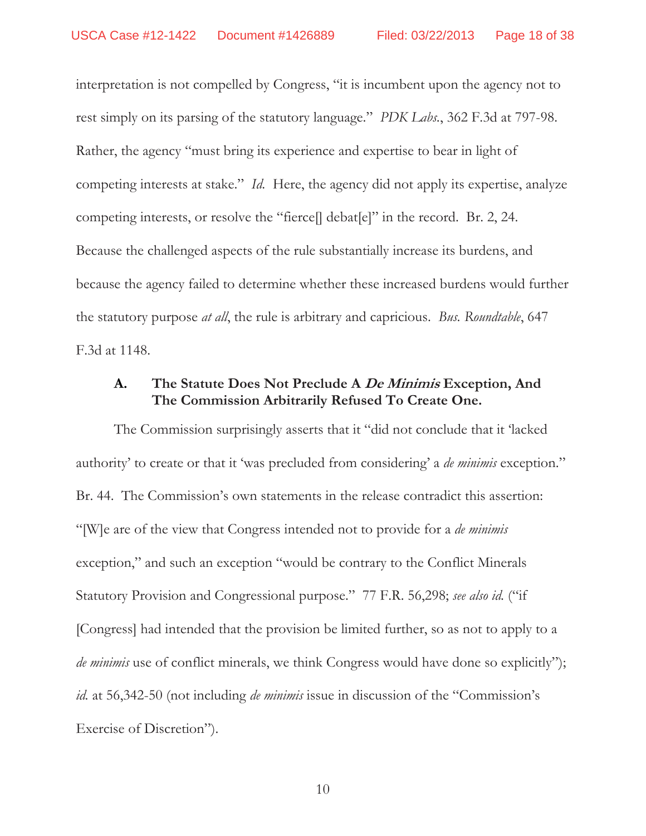interpretation is not compelled by Congress, "it is incumbent upon the agency not to rest simply on its parsing of the statutory language." *PDK Labs.*, 362 F.3d at 797-98. Rather, the agency "must bring its experience and expertise to bear in light of competing interests at stake." *Id.* Here, the agency did not apply its expertise, analyze competing interests, or resolve the "fierce[] debat[e]" in the record. Br. 2, 24. Because the challenged aspects of the rule substantially increase its burdens, and because the agency failed to determine whether these increased burdens would further the statutory purpose *at all*, the rule is arbitrary and capricious. *Bus. Roundtable*, 647 F.3d at 1148.

### **A. The Statute Does Not Preclude A De Minimis Exception, And The Commission Arbitrarily Refused To Create One.**

The Commission surprisingly asserts that it "did not conclude that it 'lacked authority' to create or that it 'was precluded from considering' a *de minimis* exception." Br. 44. The Commission's own statements in the release contradict this assertion: "[W]e are of the view that Congress intended not to provide for a *de minimis* exception," and such an exception "would be contrary to the Conflict Minerals Statutory Provision and Congressional purpose." 77 F.R. 56,298; *see also id.* ("if [Congress] had intended that the provision be limited further, so as not to apply to a *de minimis* use of conflict minerals, we think Congress would have done so explicitly"); *id.* at 56,342-50 (not including *de minimis* issue in discussion of the "Commission's Exercise of Discretion").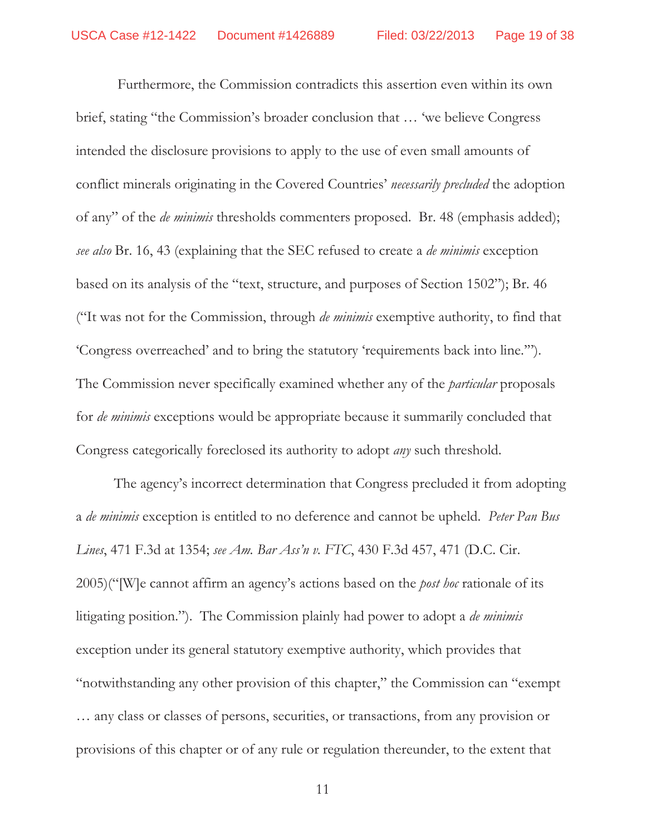Furthermore, the Commission contradicts this assertion even within its own brief, stating "the Commission's broader conclusion that … 'we believe Congress intended the disclosure provisions to apply to the use of even small amounts of conflict minerals originating in the Covered Countries' *necessarily precluded* the adoption of any" of the *de minimis* thresholds commenters proposed. Br. 48 (emphasis added); *see also* Br. 16, 43 (explaining that the SEC refused to create a *de minimis* exception based on its analysis of the "text, structure, and purposes of Section 1502"); Br. 46 ("It was not for the Commission, through *de minimis* exemptive authority, to find that 'Congress overreached' and to bring the statutory 'requirements back into line.'"). The Commission never specifically examined whether any of the *particular* proposals for *de minimis* exceptions would be appropriate because it summarily concluded that Congress categorically foreclosed its authority to adopt *any* such threshold.

The agency's incorrect determination that Congress precluded it from adopting a *de minimis* exception is entitled to no deference and cannot be upheld. *Peter Pan Bus Lines*, 471 F.3d at 1354; *see Am. Bar Ass'n v. FTC*, 430 F.3d 457, 471 (D.C. Cir. 2005)("[W]e cannot affirm an agency's actions based on the *post hoc* rationale of its litigating position."). The Commission plainly had power to adopt a *de minimis* exception under its general statutory exemptive authority, which provides that "notwithstanding any other provision of this chapter," the Commission can "exempt … any class or classes of persons, securities, or transactions, from any provision or provisions of this chapter or of any rule or regulation thereunder, to the extent that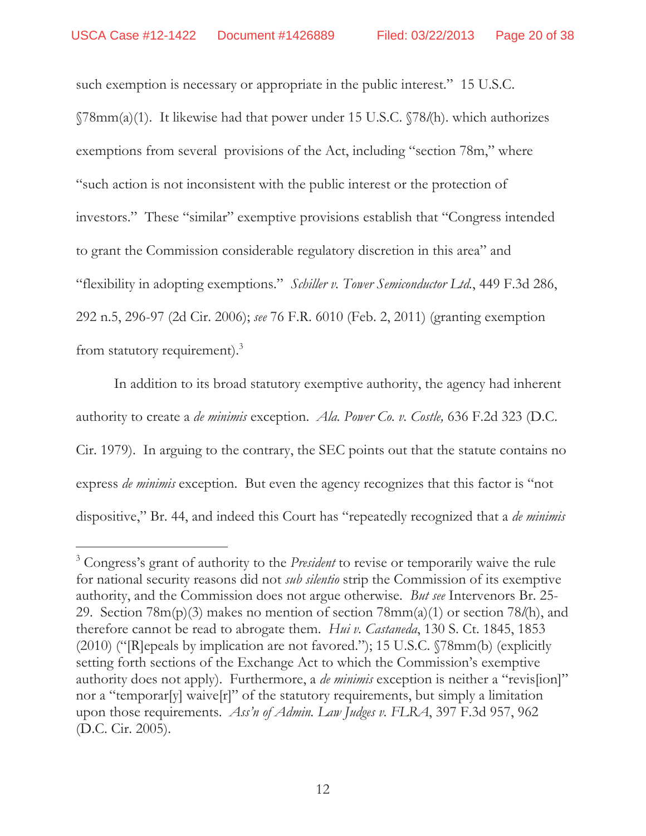$\overline{a}$ 

such exemption is necessary or appropriate in the public interest." 15 U.S.C. §78mm(a)(1). It likewise had that power under 15 U.S.C. §78*l*(h). which authorizes exemptions from several provisions of the Act, including "section 78m," where "such action is not inconsistent with the public interest or the protection of investors." These "similar" exemptive provisions establish that "Congress intended to grant the Commission considerable regulatory discretion in this area" and "flexibility in adopting exemptions." *Schiller v. Tower Semiconductor Ltd.*, 449 F.3d 286, 292 n.5, 296-97 (2d Cir. 2006); *see* 76 F.R. 6010 (Feb. 2, 2011) (granting exemption from statutory requirement). $3$ 

In addition to its broad statutory exemptive authority, the agency had inherent authority to create a *de minimis* exception. *Ala. Power Co. v. Costle,* 636 F.2d 323 (D.C. Cir. 1979). In arguing to the contrary, the SEC points out that the statute contains no express *de minimis* exception. But even the agency recognizes that this factor is "not dispositive," Br. 44, and indeed this Court has "repeatedly recognized that a *de minimis*

<sup>3</sup> Congress's grant of authority to the *President* to revise or temporarily waive the rule for national security reasons did not *sub silentio* strip the Commission of its exemptive authority, and the Commission does not argue otherwise. *But see* Intervenors Br. 25- 29. Section 78m(p)(3) makes no mention of section 78mm(a)(1) or section 78*l*(h), and therefore cannot be read to abrogate them. *Hui v. Castaneda*, 130 S. Ct. 1845, 1853 (2010) ("[R]epeals by implication are not favored."); 15 U.S.C. §78mm(b) (explicitly setting forth sections of the Exchange Act to which the Commission's exemptive authority does not apply). Furthermore, a *de minimis* exception is neither a "revis[ion]" nor a "temporar[y] waive[r]" of the statutory requirements, but simply a limitation upon those requirements. *Ass'n of Admin. Law Judges v. FLRA*, 397 F.3d 957, 962 (D.C. Cir. 2005).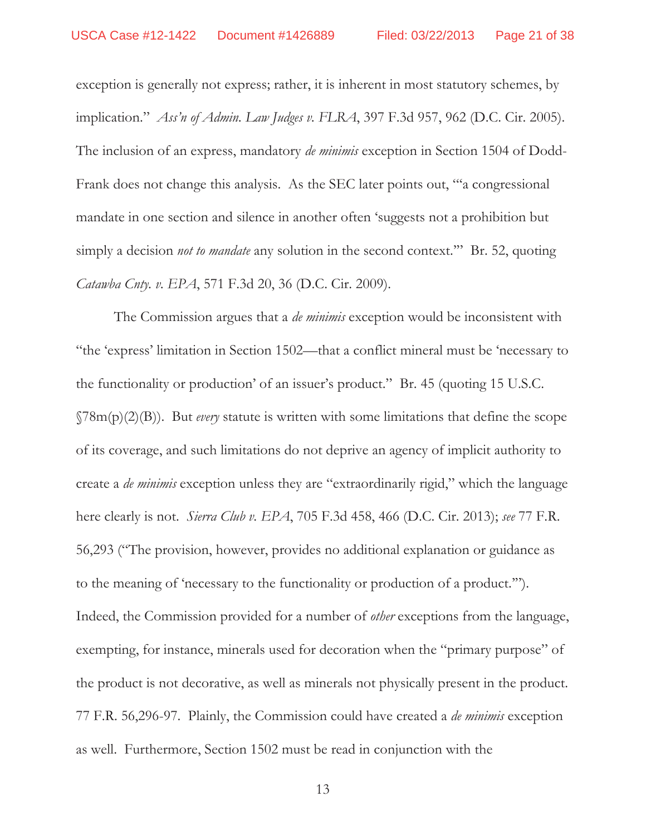exception is generally not express; rather, it is inherent in most statutory schemes, by implication." *Ass'n of Admin. Law Judges v. FLRA*, 397 F.3d 957, 962 (D.C. Cir. 2005). The inclusion of an express, mandatory *de minimis* exception in Section 1504 of Dodd-Frank does not change this analysis. As the SEC later points out, "'a congressional mandate in one section and silence in another often 'suggests not a prohibition but simply a decision *not to mandate* any solution in the second context." Br. 52, quoting *Catawba Cnty. v. EPA*, 571 F.3d 20, 36 (D.C. Cir. 2009).

The Commission argues that a *de minimis* exception would be inconsistent with "the 'express' limitation in Section 1502—that a conflict mineral must be 'necessary to the functionality or production' of an issuer's product." Br. 45 (quoting 15 U.S.C. §78m(p)(2)(B)). But *every* statute is written with some limitations that define the scope of its coverage, and such limitations do not deprive an agency of implicit authority to create a *de minimis* exception unless they are "extraordinarily rigid," which the language here clearly is not. *Sierra Club v. EPA*, 705 F.3d 458, 466 (D.C. Cir. 2013); *see* 77 F.R. 56,293 ("The provision, however, provides no additional explanation or guidance as to the meaning of 'necessary to the functionality or production of a product.'"). Indeed, the Commission provided for a number of *other* exceptions from the language, exempting, for instance, minerals used for decoration when the "primary purpose" of the product is not decorative, as well as minerals not physically present in the product. 77 F.R. 56,296-97. Plainly, the Commission could have created a *de minimis* exception as well. Furthermore, Section 1502 must be read in conjunction with the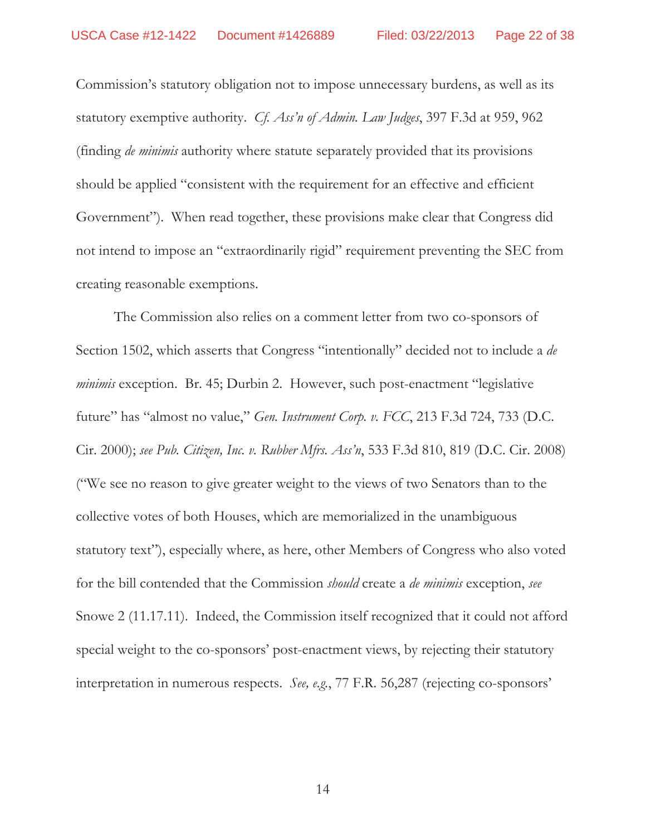Commission's statutory obligation not to impose unnecessary burdens, as well as its statutory exemptive authority. *Cf. Ass'n of Admin. Law Judges*, 397 F.3d at 959, 962 (finding *de minimis* authority where statute separately provided that its provisions should be applied "consistent with the requirement for an effective and efficient Government"). When read together, these provisions make clear that Congress did not intend to impose an "extraordinarily rigid" requirement preventing the SEC from creating reasonable exemptions.

The Commission also relies on a comment letter from two co-sponsors of Section 1502, which asserts that Congress "intentionally" decided not to include a *de minimis* exception. Br. 45; Durbin 2. However, such post-enactment "legislative future" has "almost no value," *Gen. Instrument Corp. v. FCC*, 213 F.3d 724, 733 (D.C. Cir. 2000); *see Pub. Citizen, Inc. v. Rubber Mfrs. Ass'n*, 533 F.3d 810, 819 (D.C. Cir. 2008) ("We see no reason to give greater weight to the views of two Senators than to the collective votes of both Houses, which are memorialized in the unambiguous statutory text"), especially where, as here, other Members of Congress who also voted for the bill contended that the Commission *should* create a *de minimis* exception, *see*  Snowe 2 (11.17.11). Indeed, the Commission itself recognized that it could not afford special weight to the co-sponsors' post-enactment views, by rejecting their statutory interpretation in numerous respects. *See, e.g.*, 77 F.R. 56,287 (rejecting co-sponsors'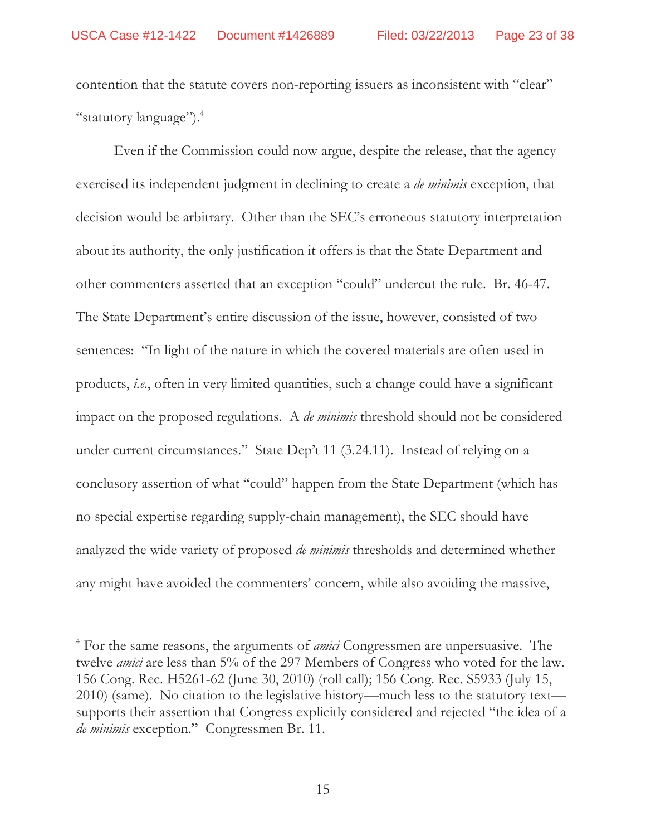contention that the statute covers non-reporting issuers as inconsistent with "clear" "statutory language").<sup>4</sup>

Even if the Commission could now argue, despite the release, that the agency exercised its independent judgment in declining to create a *de minimis* exception, that decision would be arbitrary. Other than the SEC's erroneous statutory interpretation about its authority, the only justification it offers is that the State Department and other commenters asserted that an exception "could" undercut the rule. Br. 46-47. The State Department's entire discussion of the issue, however, consisted of two sentences: "In light of the nature in which the covered materials are often used in products, *i.e.*, often in very limited quantities, such a change could have a significant impact on the proposed regulations. A *de minimis* threshold should not be considered under current circumstances." State Dep't 11 (3.24.11). Instead of relying on a conclusory assertion of what "could" happen from the State Department (which has no special expertise regarding supply-chain management), the SEC should have analyzed the wide variety of proposed *de minimis* thresholds and determined whether any might have avoided the commenters' concern, while also avoiding the massive,

 $\overline{a}$ 

<sup>4</sup> For the same reasons, the arguments of *amici* Congressmen are unpersuasive. The twelve *amici* are less than 5% of the 297 Members of Congress who voted for the law. 156 Cong. Rec. H5261-62 (June 30, 2010) (roll call); 156 Cong. Rec. S5933 (July 15, 2010) (same). No citation to the legislative history—much less to the statutory text supports their assertion that Congress explicitly considered and rejected "the idea of a *de minimis* exception." Congressmen Br. 11.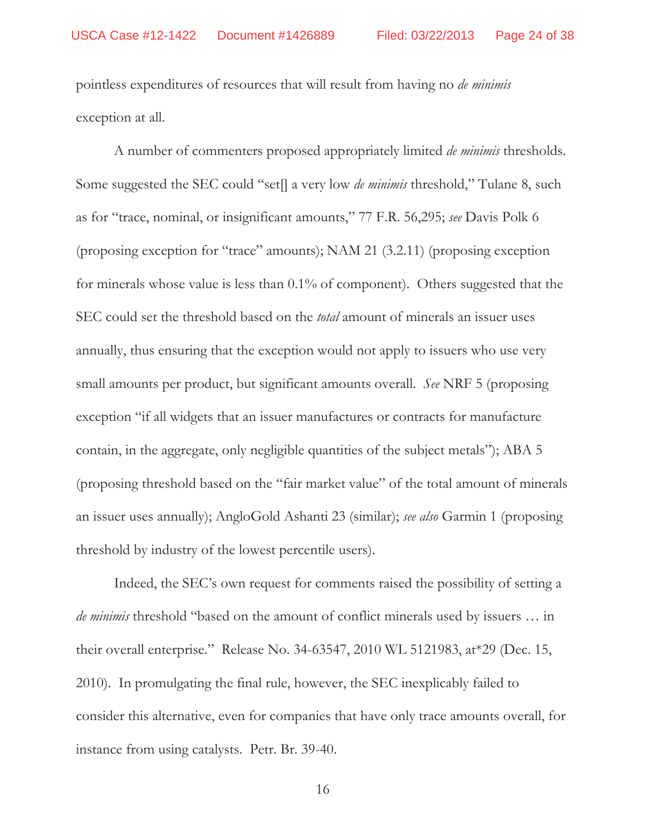pointless expenditures of resources that will result from having no *de minimis* exception at all.

A number of commenters proposed appropriately limited *de minimis* thresholds. Some suggested the SEC could "set[] a very low *de minimis* threshold," Tulane 8, such as for "trace, nominal, or insignificant amounts," 77 F.R. 56,295; *see* Davis Polk 6 (proposing exception for "trace" amounts); NAM 21 (3.2.11) (proposing exception for minerals whose value is less than 0.1% of component). Others suggested that the SEC could set the threshold based on the *total* amount of minerals an issuer uses annually, thus ensuring that the exception would not apply to issuers who use very small amounts per product, but significant amounts overall. *See* NRF 5 (proposing exception "if all widgets that an issuer manufactures or contracts for manufacture contain, in the aggregate, only negligible quantities of the subject metals"); ABA 5 (proposing threshold based on the "fair market value" of the total amount of minerals an issuer uses annually); AngloGold Ashanti 23 (similar); *see also* Garmin 1 (proposing threshold by industry of the lowest percentile users).

Indeed, the SEC's own request for comments raised the possibility of setting a *de minimis* threshold "based on the amount of conflict minerals used by issuers … in their overall enterprise." Release No. 34-63547, 2010 WL 5121983, at\*29 (Dec. 15, 2010). In promulgating the final rule, however, the SEC inexplicably failed to consider this alternative, even for companies that have only trace amounts overall, for instance from using catalysts. Petr. Br. 39-40.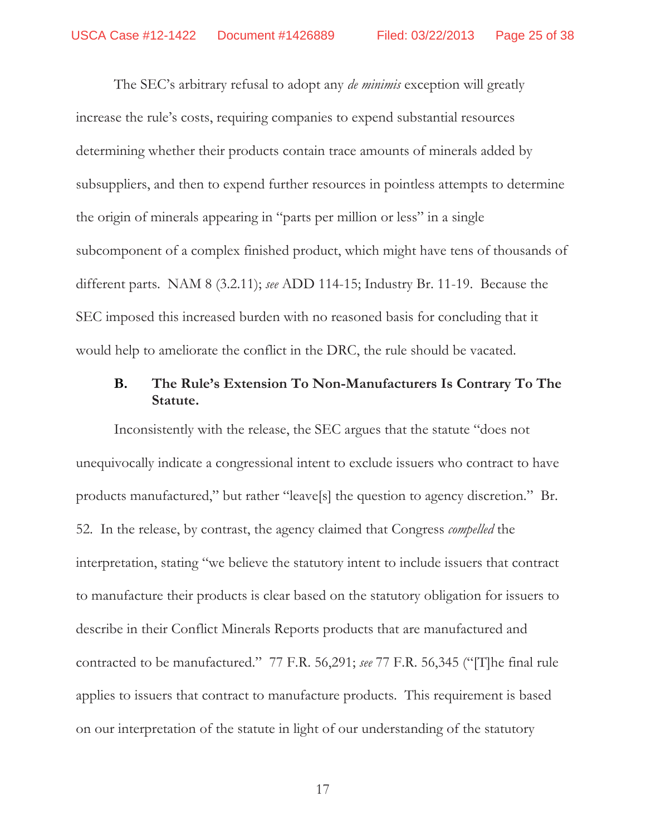The SEC's arbitrary refusal to adopt any *de minimis* exception will greatly increase the rule's costs, requiring companies to expend substantial resources determining whether their products contain trace amounts of minerals added by subsuppliers, and then to expend further resources in pointless attempts to determine the origin of minerals appearing in "parts per million or less" in a single subcomponent of a complex finished product, which might have tens of thousands of different parts. NAM 8 (3.2.11); *see* ADD 114-15; Industry Br. 11-19. Because the SEC imposed this increased burden with no reasoned basis for concluding that it would help to ameliorate the conflict in the DRC, the rule should be vacated.

## **B. The Rule's Extension To Non-Manufacturers Is Contrary To The Statute.**

Inconsistently with the release, the SEC argues that the statute "does not unequivocally indicate a congressional intent to exclude issuers who contract to have products manufactured," but rather "leave[s] the question to agency discretion." Br. 52. In the release, by contrast, the agency claimed that Congress *compelled* the interpretation, stating "we believe the statutory intent to include issuers that contract to manufacture their products is clear based on the statutory obligation for issuers to describe in their Conflict Minerals Reports products that are manufactured and contracted to be manufactured." 77 F.R. 56,291; *see* 77 F.R. 56,345 ("[T]he final rule applies to issuers that contract to manufacture products. This requirement is based on our interpretation of the statute in light of our understanding of the statutory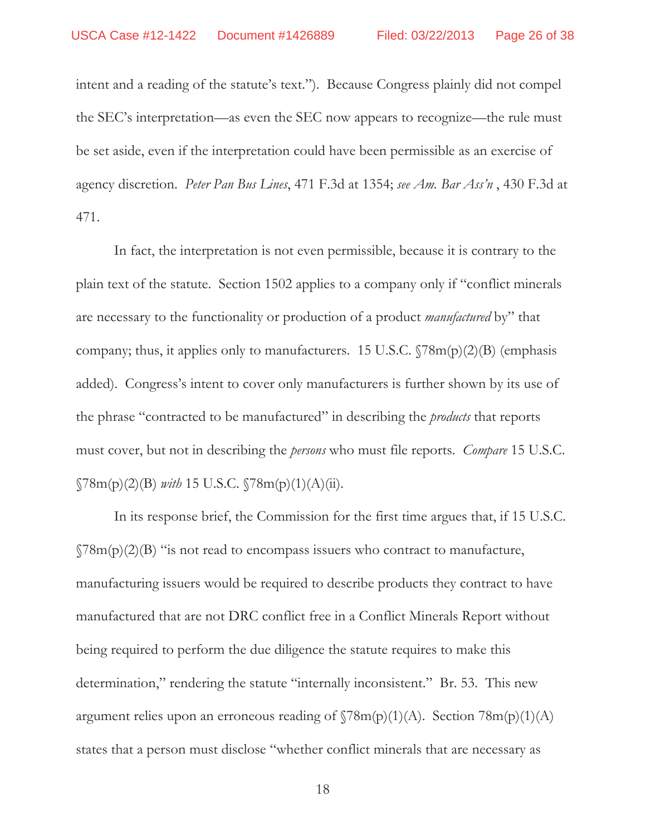intent and a reading of the statute's text."). Because Congress plainly did not compel the SEC's interpretation—as even the SEC now appears to recognize—the rule must be set aside, even if the interpretation could have been permissible as an exercise of agency discretion. *Peter Pan Bus Lines*, 471 F.3d at 1354; *see Am. Bar Ass'n* , 430 F.3d at 471.

In fact, the interpretation is not even permissible, because it is contrary to the plain text of the statute. Section 1502 applies to a company only if "conflict minerals are necessary to the functionality or production of a product *manufactured* by" that company; thus, it applies only to manufacturers. 15 U.S.C.  $\sqrt{78m(p)(2)}$  (emphasis added). Congress's intent to cover only manufacturers is further shown by its use of the phrase "contracted to be manufactured" in describing the *products* that reports must cover, but not in describing the *persons* who must file reports. *Compare* 15 U.S.C.  $\sqrt{78m(p)(2)(B)}$  *with* 15 U.S.C.  $\sqrt{78m(p)(1)(A)(ii)}$ .

In its response brief, the Commission for the first time argues that, if 15 U.S.C.  $\gamma$ 8m(p)(2)(B) "is not read to encompass issuers who contract to manufacture, manufacturing issuers would be required to describe products they contract to have manufactured that are not DRC conflict free in a Conflict Minerals Report without being required to perform the due diligence the statute requires to make this determination," rendering the statute "internally inconsistent." Br. 53. This new argument relies upon an erroneous reading of  $\Im 8m(p)(1)(A)$ . Section  $78m(p)(1)(A)$ states that a person must disclose "whether conflict minerals that are necessary as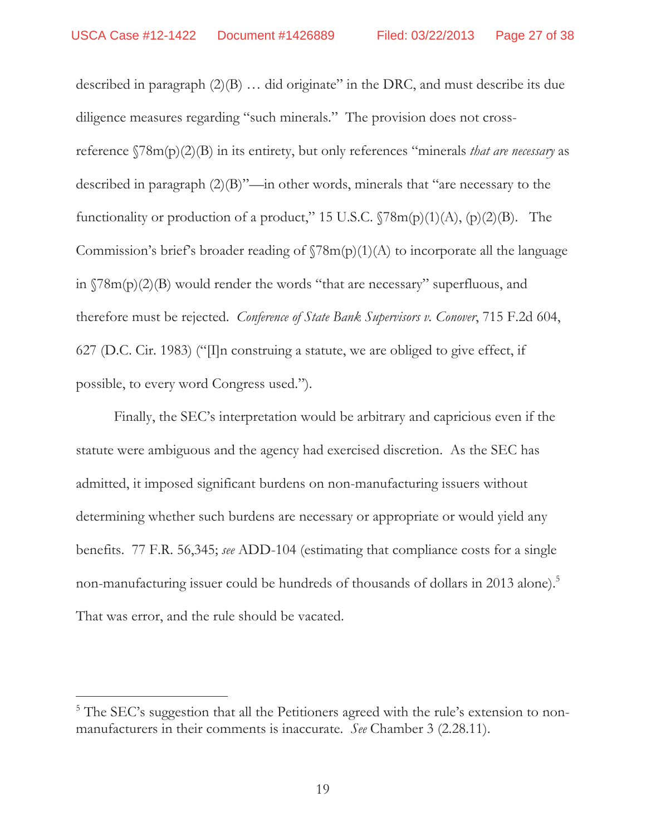described in paragraph (2)(B) … did originate" in the DRC, and must describe its due diligence measures regarding "such minerals." The provision does not crossreference §78m(p)(2)(B) in its entirety, but only references "minerals *that are necessary* as described in paragraph (2)(B)"—in other words, minerals that "are necessary to the functionality or production of a product," 15 U.S.C.  $\sqrt{78m(p)(1)(A)}$ ,  $(p)(2)(B)$ . The Commission's brief's broader reading of  $\Gamma(78m(p)(1)(A)$  to incorporate all the language in §78m(p)(2)(B) would render the words "that are necessary" superfluous, and therefore must be rejected. *Conference of State Bank Supervisors v. Conover*, 715 F.2d 604, 627 (D.C. Cir. 1983) (" $\Pi$ n construing a statute, we are obliged to give effect, if possible, to every word Congress used.").

Finally, the SEC's interpretation would be arbitrary and capricious even if the statute were ambiguous and the agency had exercised discretion. As the SEC has admitted, it imposed significant burdens on non-manufacturing issuers without determining whether such burdens are necessary or appropriate or would yield any benefits. 77 F.R. 56,345; *see* ADD-104 (estimating that compliance costs for a single non-manufacturing issuer could be hundreds of thousands of dollars in 2013 alone).<sup>5</sup> That was error, and the rule should be vacated.

 $\overline{a}$ 

<sup>&</sup>lt;sup>5</sup> The SEC's suggestion that all the Petitioners agreed with the rule's extension to nonmanufacturers in their comments is inaccurate. *See* Chamber 3 (2.28.11).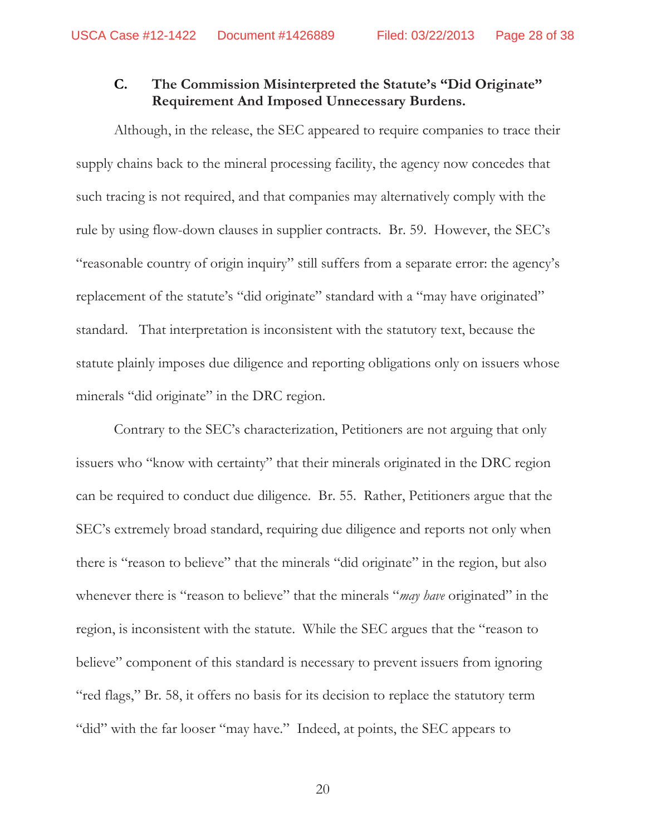## **C. The Commission Misinterpreted the Statute's "Did Originate" Requirement And Imposed Unnecessary Burdens.**

Although, in the release, the SEC appeared to require companies to trace their supply chains back to the mineral processing facility, the agency now concedes that such tracing is not required, and that companies may alternatively comply with the rule by using flow-down clauses in supplier contracts. Br. 59. However, the SEC's "reasonable country of origin inquiry" still suffers from a separate error: the agency's replacement of the statute's "did originate" standard with a "may have originated" standard. That interpretation is inconsistent with the statutory text, because the statute plainly imposes due diligence and reporting obligations only on issuers whose minerals "did originate" in the DRC region.

Contrary to the SEC's characterization, Petitioners are not arguing that only issuers who "know with certainty" that their minerals originated in the DRC region can be required to conduct due diligence. Br. 55. Rather, Petitioners argue that the SEC's extremely broad standard, requiring due diligence and reports not only when there is "reason to believe" that the minerals "did originate" in the region, but also whenever there is "reason to believe" that the minerals "*may have* originated" in the region, is inconsistent with the statute. While the SEC argues that the "reason to believe" component of this standard is necessary to prevent issuers from ignoring "red flags," Br. 58, it offers no basis for its decision to replace the statutory term "did" with the far looser "may have." Indeed, at points, the SEC appears to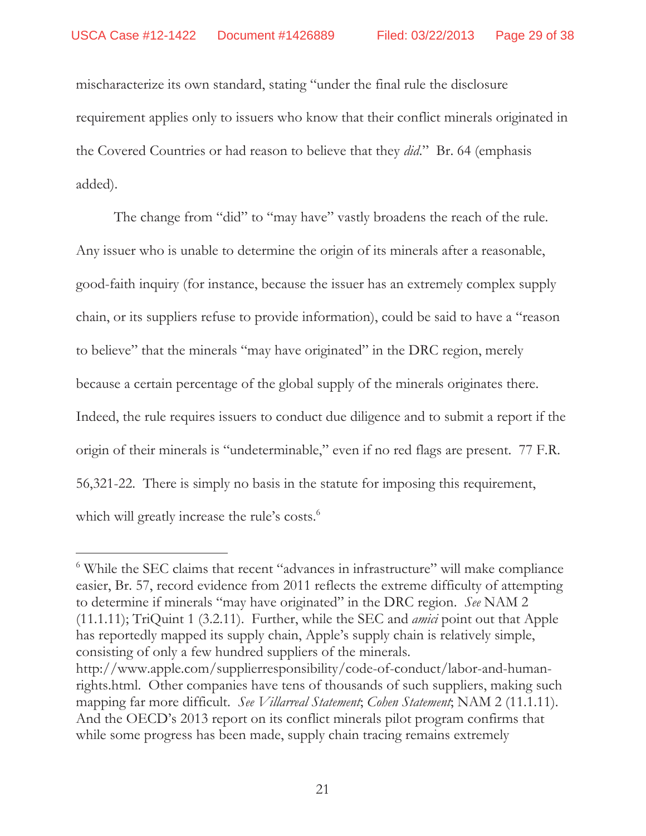mischaracterize its own standard, stating "under the final rule the disclosure requirement applies only to issuers who know that their conflict minerals originated in the Covered Countries or had reason to believe that they *did*." Br. 64 (emphasis added).

The change from "did" to "may have" vastly broadens the reach of the rule. Any issuer who is unable to determine the origin of its minerals after a reasonable, good-faith inquiry (for instance, because the issuer has an extremely complex supply chain, or its suppliers refuse to provide information), could be said to have a "reason to believe" that the minerals "may have originated" in the DRC region, merely because a certain percentage of the global supply of the minerals originates there. Indeed, the rule requires issuers to conduct due diligence and to submit a report if the origin of their minerals is "undeterminable," even if no red flags are present. 77 F.R. 56,321-22. There is simply no basis in the statute for imposing this requirement, which will greatly increase the rule's costs.<sup>6</sup>

 $\overline{a}$ 

<sup>&</sup>lt;sup>6</sup> While the SEC claims that recent "advances in infrastructure" will make compliance easier, Br. 57, record evidence from 2011 reflects the extreme difficulty of attempting to determine if minerals "may have originated" in the DRC region. *See* NAM 2 (11.1.11); TriQuint 1 (3.2.11). Further, while the SEC and *amici* point out that Apple has reportedly mapped its supply chain, Apple's supply chain is relatively simple, consisting of only a few hundred suppliers of the minerals.

http://www.apple.com/supplierresponsibility/code-of-conduct/labor-and-humanrights.html. Other companies have tens of thousands of such suppliers, making such mapping far more difficult. *See Villarreal Statement*; *Cohen Statement*; NAM 2 (11.1.11). And the OECD's 2013 report on its conflict minerals pilot program confirms that while some progress has been made, supply chain tracing remains extremely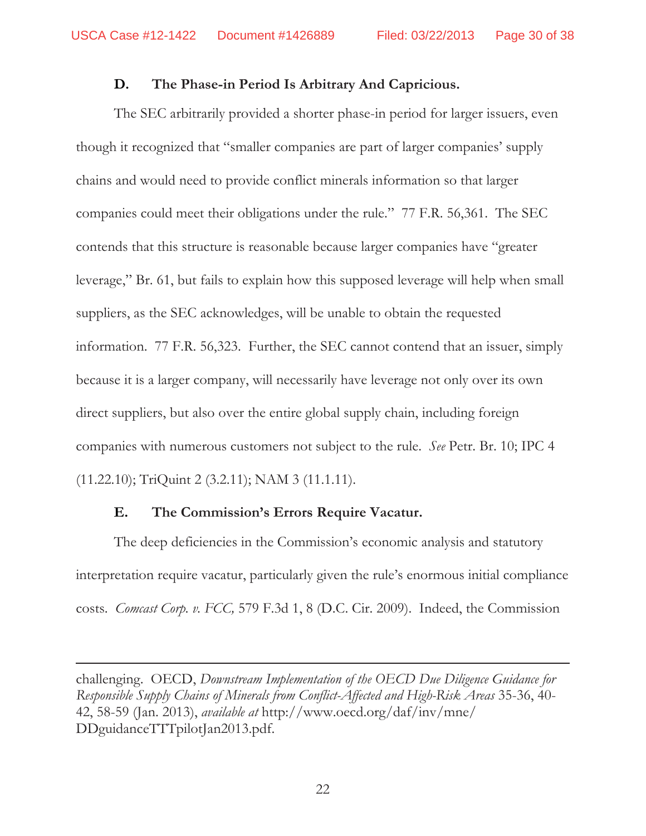### **D. The Phase-in Period Is Arbitrary And Capricious.**

The SEC arbitrarily provided a shorter phase-in period for larger issuers, even though it recognized that "smaller companies are part of larger companies' supply chains and would need to provide conflict minerals information so that larger companies could meet their obligations under the rule." 77 F.R. 56,361. The SEC contends that this structure is reasonable because larger companies have "greater leverage," Br. 61, but fails to explain how this supposed leverage will help when small suppliers, as the SEC acknowledges, will be unable to obtain the requested information. 77 F.R. 56,323. Further, the SEC cannot contend that an issuer, simply because it is a larger company, will necessarily have leverage not only over its own direct suppliers, but also over the entire global supply chain, including foreign companies with numerous customers not subject to the rule. *See* Petr. Br. 10; IPC 4 (11.22.10); TriQuint 2 (3.2.11); NAM 3 (11.1.11).

### **E. The Commission's Errors Require Vacatur.**

 $\overline{a}$ 

The deep deficiencies in the Commission's economic analysis and statutory interpretation require vacatur, particularly given the rule's enormous initial compliance costs. *Comcast Corp. v. FCC,* 579 F.3d 1, 8 (D.C. Cir. 2009). Indeed, the Commission

challenging.OECD, *Downstream Implementation of the OECD Due Diligence Guidance for Responsible Supply Chains of Minerals from Conflict-Affected and High-Risk Areas* 35-36, 40- 42, 58-59 (Jan. 2013), *available at* http://www.oecd.org/daf/inv/mne/ DDguidanceTTTpilotJan2013.pdf.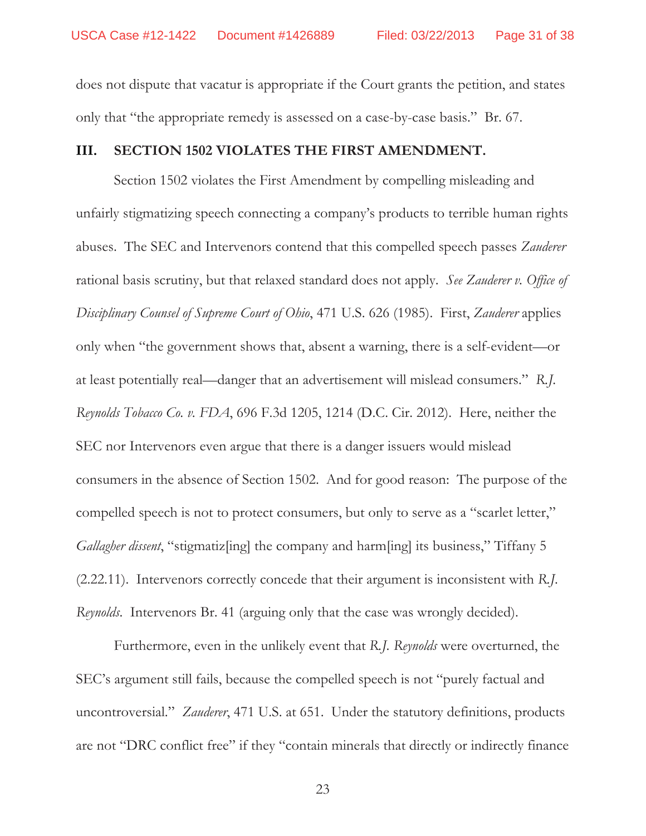does not dispute that vacatur is appropriate if the Court grants the petition, and states only that "the appropriate remedy is assessed on a case-by-case basis." Br. 67.

#### **III. SECTION 1502 VIOLATES THE FIRST AMENDMENT.**

Section 1502 violates the First Amendment by compelling misleading and unfairly stigmatizing speech connecting a company's products to terrible human rights abuses. The SEC and Intervenors contend that this compelled speech passes *Zauderer* rational basis scrutiny, but that relaxed standard does not apply. *See Zauderer v. Office of Disciplinary Counsel of Supreme Court of Ohio*, 471 U.S. 626 (1985). First, *Zauderer* applies only when "the government shows that, absent a warning, there is a self-evident—or at least potentially real—danger that an advertisement will mislead consumers." *R.J. Reynolds Tobacco Co. v. FDA*, 696 F.3d 1205, 1214 (D.C. Cir. 2012). Here, neither the SEC nor Intervenors even argue that there is a danger issuers would mislead consumers in the absence of Section 1502. And for good reason: The purpose of the compelled speech is not to protect consumers, but only to serve as a "scarlet letter," *Gallagher dissent*, "stigmatiz[ing] the company and harm[ing] its business," Tiffany 5 (2.22.11). Intervenors correctly concede that their argument is inconsistent with *R.J. Reynolds*. Intervenors Br. 41 (arguing only that the case was wrongly decided).

Furthermore, even in the unlikely event that *R.J. Reynolds* were overturned, the SEC's argument still fails, because the compelled speech is not "purely factual and uncontroversial." *Zauderer*, 471 U.S. at 651. Under the statutory definitions, products are not "DRC conflict free" if they "contain minerals that directly or indirectly finance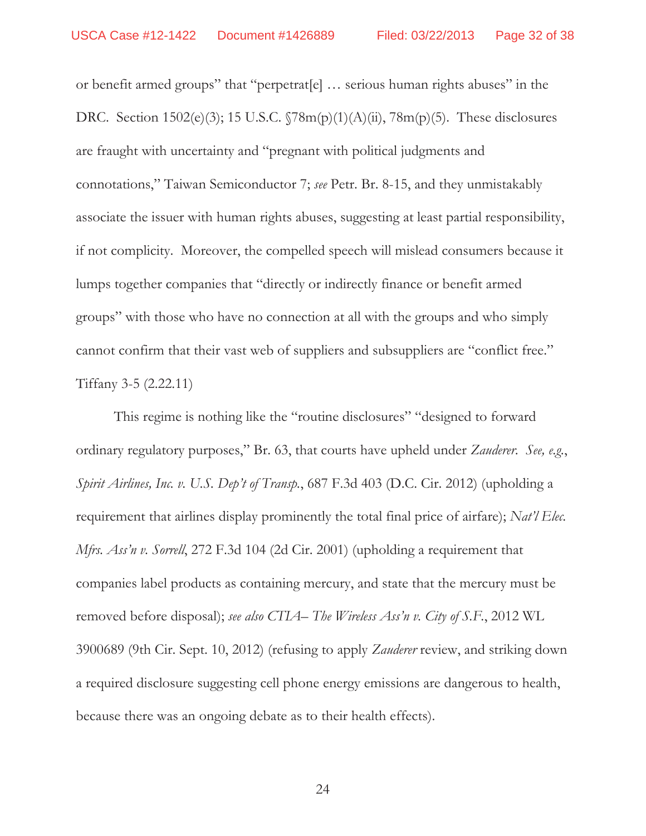or benefit armed groups" that "perpetrat[e] … serious human rights abuses" in the DRC. Section 1502(e)(3); 15 U.S.C. §78m(p)(1)(A)(ii), 78m(p)(5). These disclosures are fraught with uncertainty and "pregnant with political judgments and connotations," Taiwan Semiconductor 7; *see* Petr. Br. 8-15, and they unmistakably associate the issuer with human rights abuses, suggesting at least partial responsibility, if not complicity. Moreover, the compelled speech will mislead consumers because it lumps together companies that "directly or indirectly finance or benefit armed groups" with those who have no connection at all with the groups and who simply cannot confirm that their vast web of suppliers and subsuppliers are "conflict free." Tiffany 3-5 (2.22.11)

This regime is nothing like the "routine disclosures" "designed to forward ordinary regulatory purposes," Br. 63, that courts have upheld under *Zauderer*. *See, e.g.*, *Spirit Airlines, Inc. v. U.S. Dep't of Transp.*, 687 F.3d 403 (D.C. Cir. 2012) (upholding a requirement that airlines display prominently the total final price of airfare); *Nat'l Elec. Mfrs. Ass'n v. Sorrell*, 272 F.3d 104 (2d Cir. 2001) (upholding a requirement that companies label products as containing mercury, and state that the mercury must be removed before disposal); *see also CTIA– The Wireless Ass'n v. City of S.F.*, 2012 WL 3900689 (9th Cir. Sept. 10, 2012) (refusing to apply *Zauderer* review, and striking down a required disclosure suggesting cell phone energy emissions are dangerous to health, because there was an ongoing debate as to their health effects).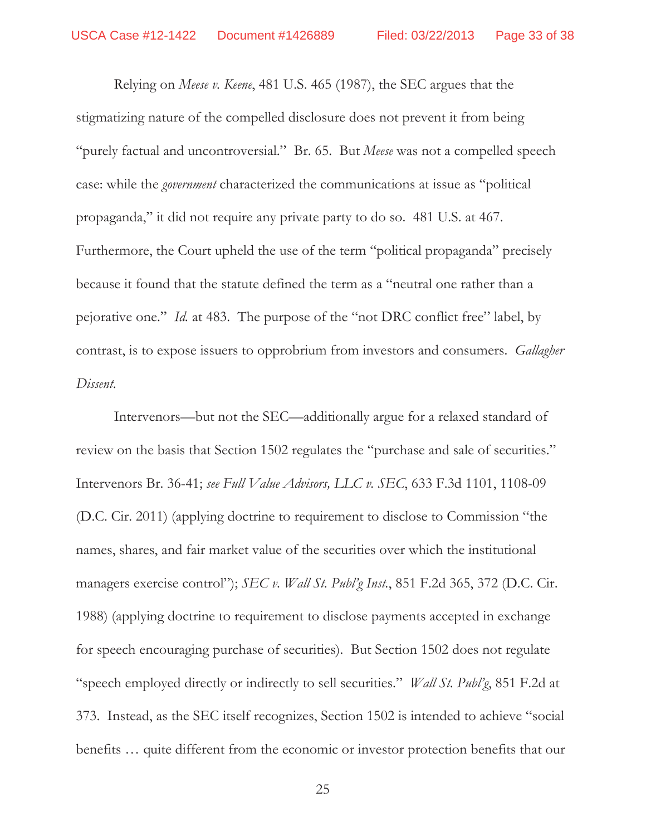Relying on *Meese v. Keene*, 481 U.S. 465 (1987), the SEC argues that the stigmatizing nature of the compelled disclosure does not prevent it from being "purely factual and uncontroversial." Br. 65. But *Meese* was not a compelled speech case: while the *government* characterized the communications at issue as "political propaganda," it did not require any private party to do so. 481 U.S. at 467. Furthermore, the Court upheld the use of the term "political propaganda" precisely because it found that the statute defined the term as a "neutral one rather than a pejorative one." *Id.* at 483. The purpose of the "not DRC conflict free" label, by contrast, is to expose issuers to opprobrium from investors and consumers. *Gallagher Dissent*.

Intervenors—but not the SEC—additionally argue for a relaxed standard of review on the basis that Section 1502 regulates the "purchase and sale of securities." Intervenors Br. 36-41; *see Full Value Advisors, LLC v. SEC*, 633 F.3d 1101, 1108-09 (D.C. Cir. 2011) (applying doctrine to requirement to disclose to Commission "the names, shares, and fair market value of the securities over which the institutional managers exercise control"); *SEC v. Wall St. Publ'g Inst.*, 851 F.2d 365, 372 (D.C. Cir. 1988) (applying doctrine to requirement to disclose payments accepted in exchange for speech encouraging purchase of securities). But Section 1502 does not regulate "speech employed directly or indirectly to sell securities." *Wall St. Publ'g*, 851 F.2d at 373. Instead, as the SEC itself recognizes, Section 1502 is intended to achieve "social benefits … quite different from the economic or investor protection benefits that our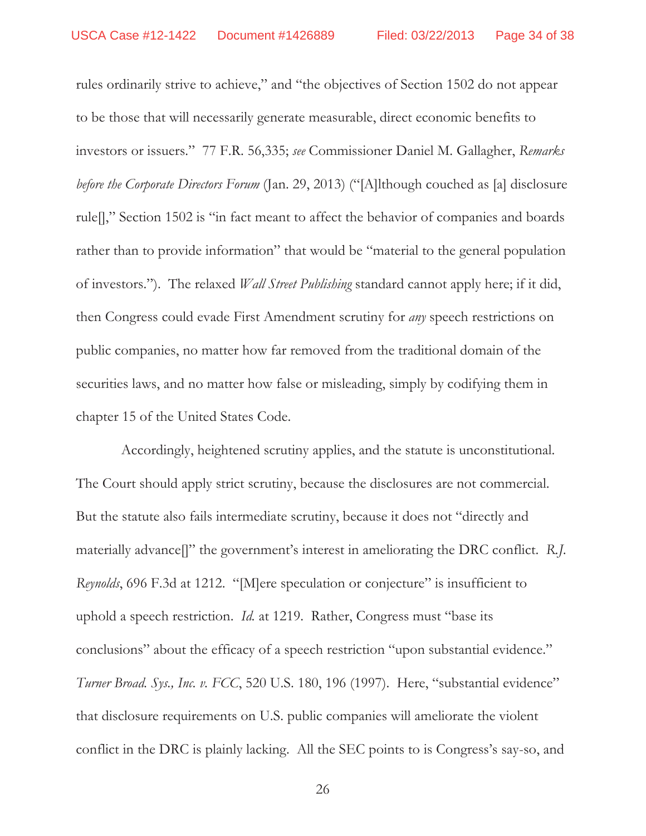rules ordinarily strive to achieve," and "the objectives of Section 1502 do not appear to be those that will necessarily generate measurable, direct economic benefits to investors or issuers." 77 F.R. 56,335; *see* Commissioner Daniel M. Gallagher, *Remarks before the Corporate Directors Forum* (Jan. 29, 2013) ("[A]lthough couched as [a] disclosure rule[]," Section 1502 is "in fact meant to affect the behavior of companies and boards rather than to provide information" that would be "material to the general population of investors."). The relaxed *Wall Street Publishing* standard cannot apply here; if it did, then Congress could evade First Amendment scrutiny for *any* speech restrictions on public companies, no matter how far removed from the traditional domain of the securities laws, and no matter how false or misleading, simply by codifying them in chapter 15 of the United States Code.

 Accordingly, heightened scrutiny applies, and the statute is unconstitutional. The Court should apply strict scrutiny, because the disclosures are not commercial. But the statute also fails intermediate scrutiny, because it does not "directly and materially advance[]" the government's interest in ameliorating the DRC conflict. *R.J. Reynolds*, 696 F.3d at 1212. "[M]ere speculation or conjecture" is insufficient to uphold a speech restriction. *Id.* at 1219. Rather, Congress must "base its conclusions" about the efficacy of a speech restriction "upon substantial evidence." *Turner Broad. Sys., Inc. v. FCC*, 520 U.S. 180, 196 (1997). Here, "substantial evidence" that disclosure requirements on U.S. public companies will ameliorate the violent conflict in the DRC is plainly lacking. All the SEC points to is Congress's say-so, and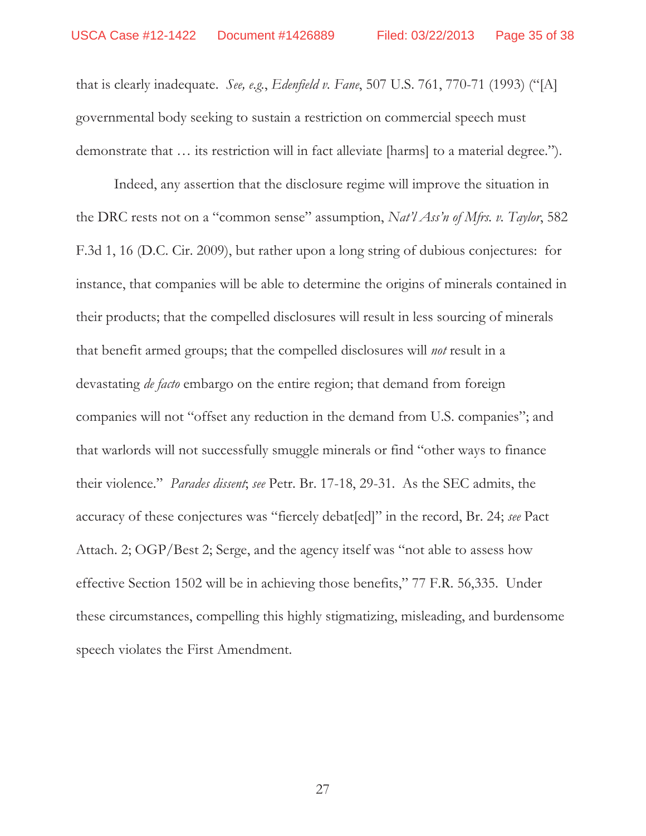that is clearly inadequate. *See, e.g.*, *Edenfield v. Fane*, 507 U.S. 761, 770-71 (1993) ("[A] governmental body seeking to sustain a restriction on commercial speech must demonstrate that … its restriction will in fact alleviate [harms] to a material degree.").

Indeed, any assertion that the disclosure regime will improve the situation in the DRC rests not on a "common sense" assumption, *Nat'l Ass'n of Mfrs. v. Taylor*, 582 F.3d 1, 16 (D.C. Cir. 2009), but rather upon a long string of dubious conjectures: for instance, that companies will be able to determine the origins of minerals contained in their products; that the compelled disclosures will result in less sourcing of minerals that benefit armed groups; that the compelled disclosures will *not* result in a devastating *de facto* embargo on the entire region; that demand from foreign companies will not "offset any reduction in the demand from U.S. companies"; and that warlords will not successfully smuggle minerals or find "other ways to finance their violence." *Parades dissent*; *see* Petr. Br. 17-18, 29-31. As the SEC admits, the accuracy of these conjectures was "fiercely debat[ed]" in the record, Br. 24; *see* Pact Attach. 2; OGP/Best 2; Serge, and the agency itself was "not able to assess how effective Section 1502 will be in achieving those benefits," 77 F.R. 56,335. Under these circumstances, compelling this highly stigmatizing, misleading, and burdensome speech violates the First Amendment.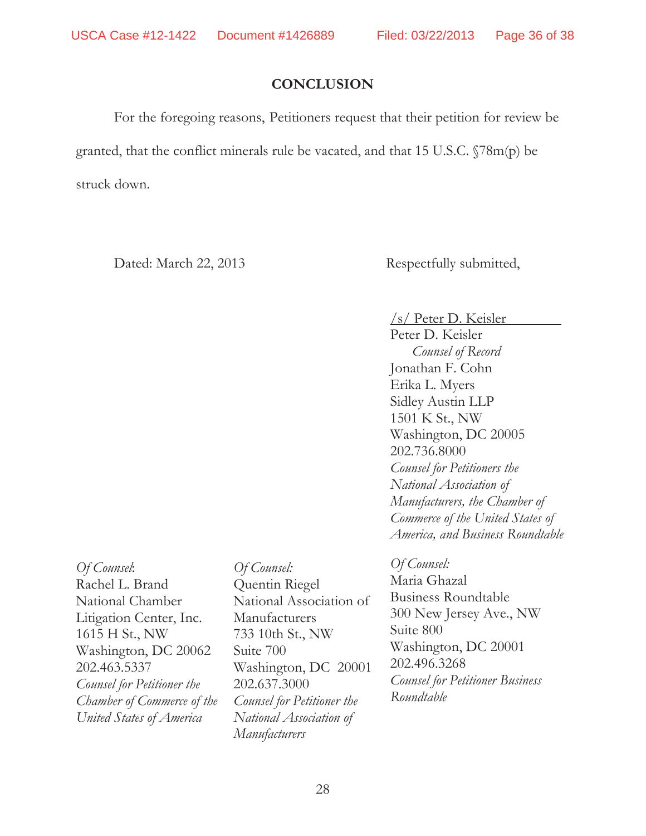# **CONCLUSION**

For the foregoing reasons, Petitioners request that their petition for review be granted, that the conflict minerals rule be vacated, and that 15 U.S.C. §78m(p) be struck down.

Dated: March 22, 2013 Respectfully submitted,

/s/ Peter D. Keisler

Peter D. Keisler *Counsel of Record*  Jonathan F. Cohn Erika L. Myers Sidley Austin LLP 1501 K St., NW Washington, DC 20005 202.736.8000 *Counsel for Petitioners the National Association of Manufacturers, the Chamber of Commerce of the United States of America, and Business Roundtable* 

*Of Counsel*: Rachel L. Brand National Chamber Litigation Center, Inc. 1615 H St., NW Washington, DC 20062 202.463.5337 *Counsel for Petitioner the Chamber of Commerce of the United States of America*

*Of Counsel:*  Quentin Riegel National Association of Manufacturers 733 10th St., NW Suite 700 Washington, DC 20001 202.637.3000 *Counsel for Petitioner the National Association of Manufacturers* 

*Of Counsel:*  Maria Ghazal Business Roundtable 300 New Jersey Ave., NW Suite 800 Washington, DC 20001 202.496.3268 *Counsel for Petitioner Business Roundtable*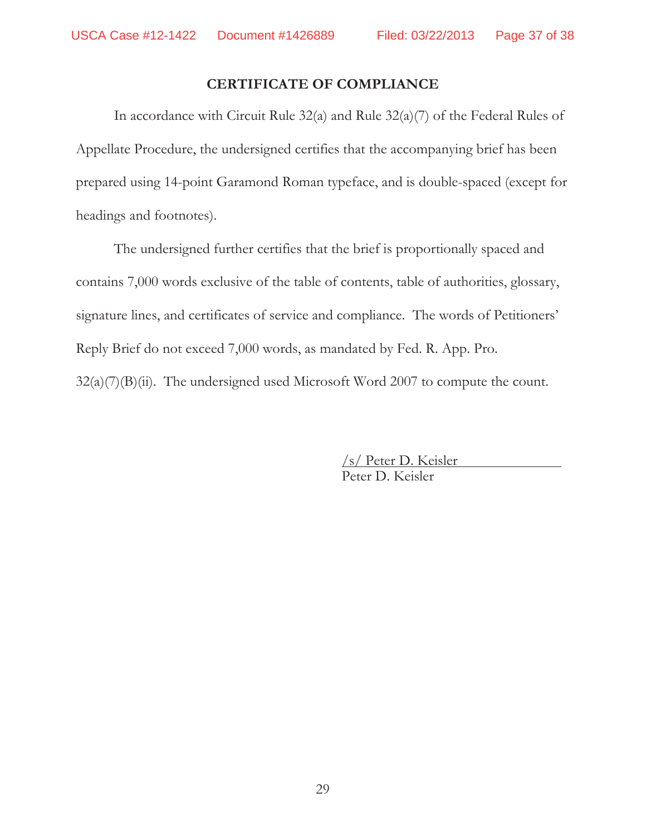## **CERTIFICATE OF COMPLIANCE**

In accordance with Circuit Rule 32(a) and Rule 32(a)(7) of the Federal Rules of Appellate Procedure, the undersigned certifies that the accompanying brief has been prepared using 14-point Garamond Roman typeface, and is double-spaced (except for headings and footnotes).

The undersigned further certifies that the brief is proportionally spaced and contains 7,000 words exclusive of the table of contents, table of authorities, glossary, signature lines, and certificates of service and compliance. The words of Petitioners' Reply Brief do not exceed 7,000 words, as mandated by Fed. R. App. Pro.  $32(a)(7)(B)(ii)$ . The undersigned used Microsoft Word 2007 to compute the count.

> /s/ Peter D. Keisler Peter D. Keisler